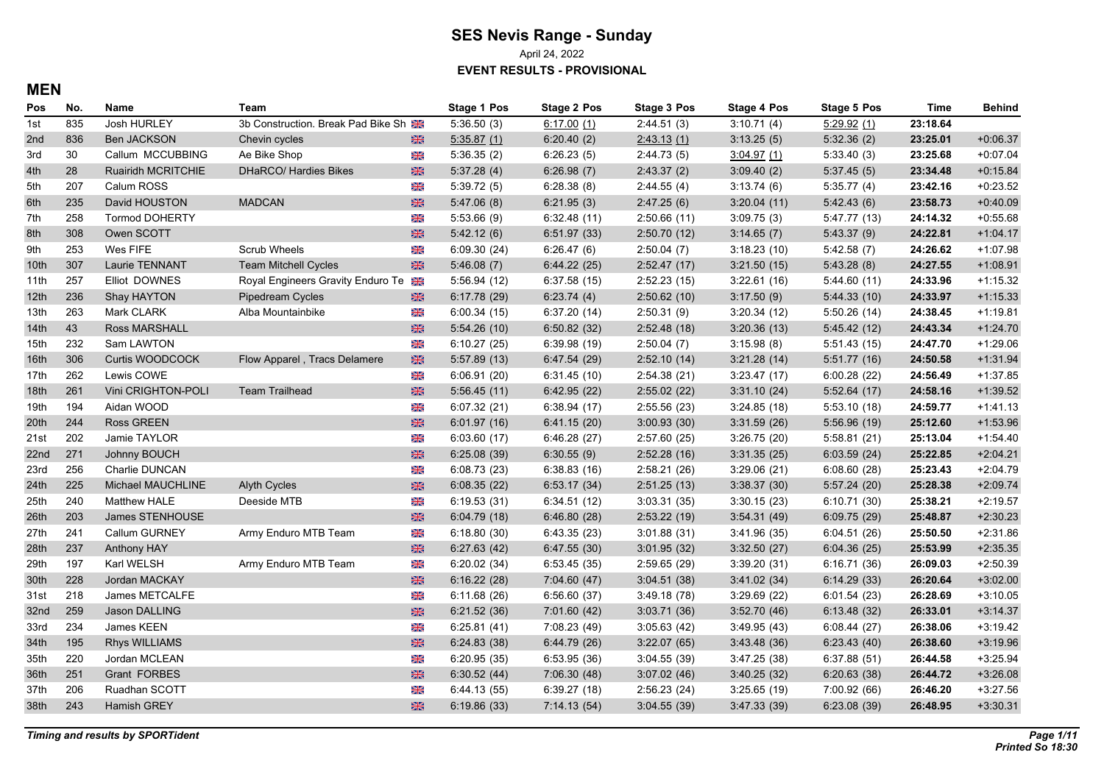April 24, 2022

**EVENT RESULTS - PROVISIONAL**

#### **MEN**

| Pos              | No. | Name                   | Team                                 |                | Stage 1 Pos | <b>Stage 2 Pos</b> | <b>Stage 3 Pos</b> | <b>Stage 4 Pos</b> | <b>Stage 5 Pos</b> | Time     | Behind     |
|------------------|-----|------------------------|--------------------------------------|----------------|-------------|--------------------|--------------------|--------------------|--------------------|----------|------------|
| 1st              | 835 | Josh HURLEY            | 3b Construction. Break Pad Bike Sh 3 |                | 5:36.50(3)  | 6:17.00(1)         | 2:44.51(3)         | 3:10.71(4)         | 5:29.92(1)         | 23:18.64 |            |
| 2nd              | 836 | <b>Ben JACKSON</b>     | Chevin cycles                        | $\frac{N}{2N}$ | 5:35.87(1)  | 6:20.40(2)         | 2.43.13(1)         | 3:13.25(5)         | 5:32.36(2)         | 23:25.01 | $+0.06.37$ |
| 3rd              | 30  | Callum MCCUBBING       | Ae Bike Shop                         | X              | 5:36.35(2)  | 6:26.23(5)         | 2:44.73(5)         | 3.04.97(1)         | 5:33.40(3)         | 23:25.68 | $+0.07.04$ |
| 4th              | 28  | Ruairidh MCRITCHIE     | DHaRCO/ Hardies Bikes                | $\frac{N}{2N}$ | 5:37.28(4)  | 6:26.98(7)         | 2:43.37(2)         | 3:09.40(2)         | 5:37.45(5)         | 23:34.48 | $+0.15.84$ |
| 5th              | 207 | Calum ROSS             |                                      | 米              | 5:39.72(5)  | 6:28.38(8)         | 2:44.55(4)         | 3:13.74(6)         | 5:35.77(4)         | 23:42.16 | $+0.23.52$ |
| 6th              | 235 | David HOUSTON          | <b>MADCAN</b>                        | $\frac{N}{2}$  | 5.47.06(8)  | 6:21.95(3)         | 2.47.25(6)         | 3:20.04(11)        | 5.42.43(6)         | 23:58.73 | $+0.40.09$ |
| 7th              | 258 | Tormod DOHERTY         |                                      | X              | 5:53.66(9)  | 6:32.48(11)        | 2:50.66(11)        | 3:09.75(3)         | 5:47.77(13)        | 24:14.32 | $+0.55.68$ |
| 8th              | 308 | Owen SCOTT             |                                      | $\frac{1}{2}$  | 5.42.12(6)  | 6:51.97(33)        | 2:50.70(12)        | 3:14.65(7)         | 5:43.37(9)         | 24:22.81 | $+1.04.17$ |
| 9th              | 253 | Wes FIFE               | Scrub Wheels                         | 米              | 6:09.30(24) | 6:26.47(6)         | 2:50.04(7)         | 3:18.23(10)        | 5:42.58(7)         | 24:26.62 | $+1:07.98$ |
| 10th             | 307 | Laurie TENNANT         | <b>Team Mitchell Cycles</b>          | $\frac{N}{2N}$ | 5.46.08(7)  | 6.44.22(25)        | 2:52.47(17)        | 3:21.50(15)        | 5:43.28(8)         | 24:27.55 | $+1.08.91$ |
| 11th             | 257 | Elliot DOWNES          | Royal Engineers Gravity Enduro Te    |                | 5:56.94(12) | 6:37.58(15)        | 2:52.23(15)        | 3:22.61(16)        | 5.44.60(11)        | 24:33.96 | $+1:15.32$ |
| 12 <sup>th</sup> | 236 | Shay HAYTON            | Pipedream Cycles                     | $\frac{N}{2N}$ | 6:17.78(29) | 6:23.74(4)         | 2:50.62(10)        | 3:17.50(9)         | 5:44.33(10)        | 24:33.97 | $+1:15.33$ |
| 13th             | 263 | Mark CLARK             | Alba Mountainbike                    | XK             | 6:00.34(15) | 6:37.20(14)        | 2:50.31(9)         | 3:20.34(12)        | 5:50.26(14)        | 24:38.45 | $+1:19.81$ |
| 14th             | 43  | <b>Ross MARSHALL</b>   |                                      | $\frac{N}{2N}$ | 5:54.26(10) | 6:50.82(32)        | 2:52.48(18)        | 3:20.36(13)        | 5.45.42(12)        | 24:43.34 | $+1.24.70$ |
| 15th             | 232 | Sam LAWTON             |                                      | XK             | 6:10.27(25) | 6:39.98(19)        | 2:50.04(7)         | 3:15.98(8)         | 5:51.43(15)        | 24:47.70 | $+1:29.06$ |
| 16th             | 306 | Curtis WOODCOCK        | Flow Apparel, Tracs Delamere         | $\frac{N}{2N}$ | 5:57.89(13) | 6.47.54(29)        | 2:52.10(14)        | 3:21.28(14)        | 5:51.77(16)        | 24:50.58 | $+1.31.94$ |
| 17th             | 262 | Lewis COWE             |                                      | 米              | 6:06.91(20) | 6:31.45(10)        | 2:54.38(21)        | 3:23.47(17)        | 6:00.28(22)        | 24:56.49 | $+1:37.85$ |
| 18th             | 261 | Vini CRIGHTON-POLI     | <b>Team Trailhead</b>                | $\frac{N}{2N}$ | 5:56.45(11) | 6.42.95(22)        | 2:55.02(22)        | 3:31.10(24)        | 5.52.64(17)        | 24:58.16 | $+1:39.52$ |
| 19th             | 194 | Aidan WOOD             |                                      | XK             | 6:07.32(21) | 6:38.94(17)        | 2:55.56(23)        | 3:24.85(18)        | 5:53.10(18)        | 24:59.77 | $+1.41.13$ |
| 20th             | 244 | <b>Ross GREEN</b>      |                                      | $\frac{N}{2N}$ | 6:01.97(16) | 6.41.15(20)        | 3:00.93(30)        | 3:31.59(26)        | 5:56.96(19)        | 25:12.60 | $+1:53.96$ |
| 21st             | 202 | Jamie TAYLOR           |                                      | 米              | 6:03.60(17) | 6.46.28(27)        | 2:57.60(25)        | 3:26.75(20)        | 5:58.81(21)        | 25:13.04 | $+1.54.40$ |
| 22nd             | 271 | Johnny BOUCH           |                                      | $\frac{1}{2}$  | 6:25.08(39) | 6:30.55(9)         | 2:52.28(16)        | 3:31.35(25)        | 6:03.59(24)        | 25:22.85 | $+2:04.21$ |
| 23rd             | 256 | Charlie DUNCAN         |                                      | X              | 6:08.73(23) | 6:38.83(16)        | 2:58.21(26)        | 3:29.06(21)        | 6:08.60(28)        | 25:23.43 | $+2:04.79$ |
| 24 <sub>th</sub> | 225 | Michael MAUCHLINE      | <b>Alyth Cycles</b>                  | $\frac{N}{2N}$ | 6:08.35(22) | 6:53.17(34)        | 2:51.25(13)        | 3:38.37(30)        | 5:57.24(20)        | 25:28.38 | $+2:09.74$ |
| 25th             | 240 | Matthew HALE           | Deeside MTB                          | XK             | 6:19.53(31) | 6:34.51(12)        | 3:03.31(35)        | 3:30.15(23)        | 6:10.71(30)        | 25:38.21 | $+2:19.57$ |
| 26th             | 203 | <b>James STENHOUSE</b> |                                      | $\frac{1}{2}$  | 6:04.79(18) | 6:46.80(28)        | 2:53.22(19)        | 3:54.31(49)        | 6:09.75(29)        | 25:48.87 | $+2:30.23$ |
| 27th             | 241 | Callum GURNEY          | Army Enduro MTB Team                 | 米              | 6:18.80(30) | 6.43.35(23)        | 3.01.88(31)        | 3.41.96(35)        | 6:04.51(26)        | 25:50.50 | $+2:31.86$ |
| 28th             | 237 | <b>Anthony HAY</b>     |                                      | $\frac{N}{2N}$ | 6:27.63(42) | 6.47.55(30)        | 3:01.95(32)        | 3:32.50(27)        | 6:04.36(25)        | 25:53.99 | $+2:35.35$ |
| 29th             | 197 | Karl WELSH             | Army Enduro MTB Team                 | X              | 6:20.02(34) | 6:53.45(35)        | 2:59.65(29)        | 3:39.20(31)        | 6:16.71(36)        | 26:09.03 | $+2:50.39$ |
| 30th             | 228 | Jordan MACKAY          |                                      | $\frac{1}{2}$  | 6:16.22(28) | 7:04.60(47)        | 3.04.51(38)        | 3.41.02(34)        | 6:14.29(33)        | 26:20.64 | $+3:02.00$ |
| 31st             | 218 | James METCALFE         |                                      | X              | 6:11.68(26) | 6:56.60(37)        | 3:49.18(78)        | 3:29.69(22)        | 6:01.54(23)        | 26:28.69 | $+3:10.05$ |
| 32nd             | 259 | <b>Jason DALLING</b>   |                                      | $\frac{N}{2N}$ | 6:21.52(36) | 7:01.60(42)        | 3:03.71(36)        | 3:52.70(46)        | 6:13.48(32)        | 26:33.01 | $+3.14.37$ |
| 33rd             | 234 | James KEEN             |                                      | 米              | 6:25.81(41) | 7:08.23 (49)       | 3:05.63(42)        | 3:49.95(43)        | 6.08.44(27)        | 26:38.06 | $+3.19.42$ |
| 34th             | 195 | <b>Rhys WILLIAMS</b>   |                                      | $\frac{1}{2}$  | 6:24.83(38) | 6.44.79(26)        | 3:22.07(65)        | 3.43.48(36)        | 6:23.43(40)        | 26:38.60 | $+3:19.96$ |
| 35th             | 220 | Jordan MCLEAN          |                                      | X              | 6:20.95(35) | 6:53.95(36)        | 3:04.55(39)        | 3.47.25(38)        | 6:37.88(51)        | 26:44.58 | $+3:25.94$ |
| 36th             | 251 | Grant FORBES           |                                      | $\frac{1}{2}$  | 6:30.52(44) | 7:06.30(48)        | 3.07.02(46)        | 3:40.25(32)        | 6:20.63(38)        | 26:44.72 | $+3.26.08$ |
| 37th             | 206 | Ruadhan SCOTT          |                                      | X              | 6.44.13(55) | 6:39.27(18)        | 2:56.23(24)        | 3:25.65(19)        | 7:00.92 (66)       | 26:46.20 | $+3:27.56$ |
| 38th             | 243 | Hamish GREY            |                                      | $\frac{N}{2N}$ | 6:19.86(33) | 7:14.13(54)        | 3:04.55(39)        | 3.47.33(39)        | 6:23.08(39)        | 26:48.95 | $+3:30.31$ |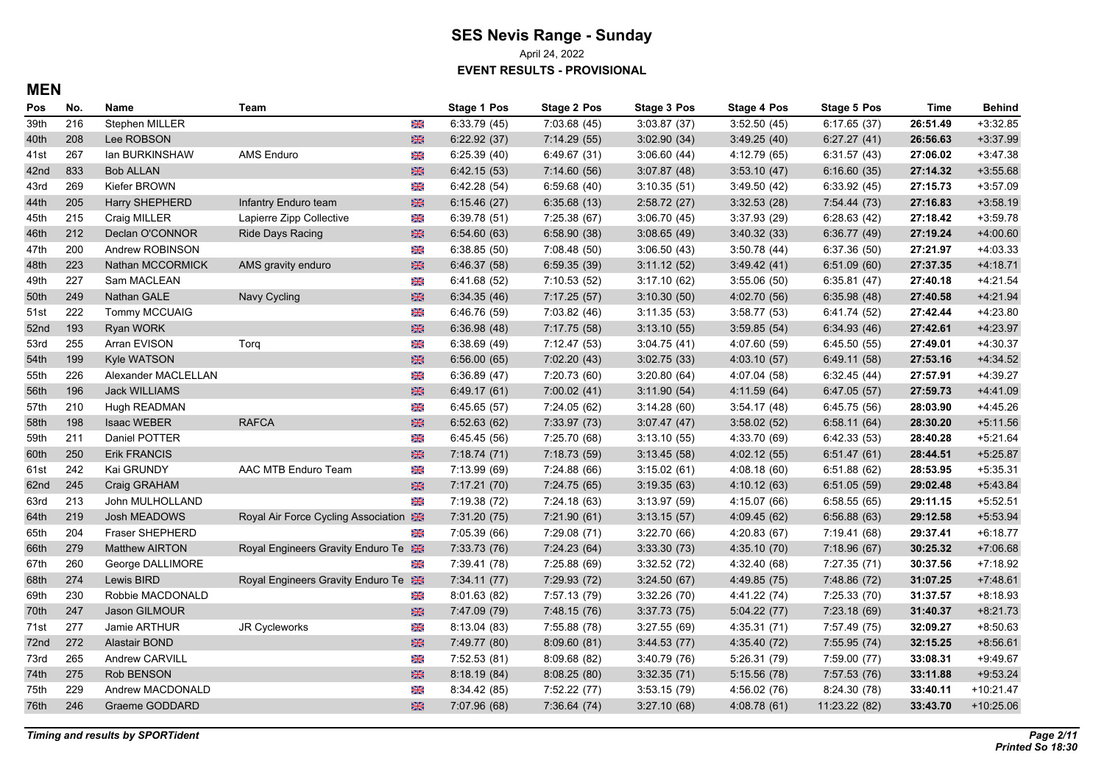April 24, 2022

**EVENT RESULTS - PROVISIONAL**

#### **MEN**

| Pos  | No. | Name                 | Team                                |                | <b>Stage 1 Pos</b> | <b>Stage 2 Pos</b> | Stage 3 Pos | <b>Stage 4 Pos</b> | <b>Stage 5 Pos</b> | Time     | <b>Behind</b> |
|------|-----|----------------------|-------------------------------------|----------------|--------------------|--------------------|-------------|--------------------|--------------------|----------|---------------|
| 39th | 216 | Stephen MILLER       |                                     | XK             | 6:33.79(45)        | 7:03.68 (45)       | 3:03.87(37) | 3:52.50(45)        | 6:17.65(37)        | 26:51.49 | $+3:32.85$    |
| 40th | 208 | Lee ROBSON           |                                     | $\frac{N}{2}$  | 6:22.92(37)        | 7:14.29(55)        | 3:02.90(34) | 3:49.25(40)        | 6:27.27(41)        | 26:56.63 | $+3.37.99$    |
| 41st | 267 | lan BURKINSHAW       | <b>AMS Enduro</b>                   | $\frac{1}{2}$  | 6:25.39(40)        | 6:49.67(31)        | 3:06.60(44) | 4:12.79 (65)       | 6:31.57(43)        | 27:06.02 | $+3.47.38$    |
| 42nd | 833 | <b>Bob ALLAN</b>     |                                     | $\frac{N}{2N}$ | 6:42.15(53)        | 7:14.60(56)        | 3:07.87(48) | 3:53.10(47)        | 6:16.60(35)        | 27:14.32 | $+3:55.68$    |
| 43rd | 269 | Kiefer BROWN         |                                     | Ж              | 6.42.28(54)        | 6:59.68(40)        | 3:10.35(51) | 3:49.50(42)        | 6:33.92(45)        | 27:15.73 | $+3:57.09$    |
| 44th | 205 | Harry SHEPHERD       | Infantry Enduro team                | $\frac{N}{2N}$ | 6:15.46(27)        | 6.35.68(13)        | 2:58.72(27) | 3:32.53(28)        | 7:54.44 (73)       | 27:16.83 | $+3.58.19$    |
| 45th | 215 | Craig MILLER         | Lapierre Zipp Collective            | 米              | 6:39.78(51)        | 7:25.38 (67)       | 3:06.70(45) | 3:37.93(29)        | 6:28.63(42)        | 27:18.42 | $+3:59.78$    |
| 46th | 212 | Declan O'CONNOR      | <b>Ride Days Racing</b>             | $\frac{N}{2N}$ | 6:54.60(63)        | 6:58.90(38)        | 3:08.65(49) | 3:40.32(33)        | 6:36.77(49)        | 27:19.24 | $+4:00.60$    |
| 47th | 200 | Andrew ROBINSON      |                                     | XK             | 6:38.85(50)        | 7:08.48(50)        | 3:06.50(43) | 3:50.78(44)        | 6:37.36(50)        | 27:21.97 | $+4:03.33$    |
| 48th | 223 | Nathan MCCORMICK     | AMS gravity enduro                  | $\frac{N}{2N}$ | 6.46.37(58)        | 6:59.35(39)        | 3:11.12(52) | 3.49.42(41)        | 6:51.09(60)        | 27:37.35 | $+4:18.71$    |
| 49th | 227 | Sam MACLEAN          |                                     | ⋇              | 6:41.68(52)        | 7:10.53(52)        | 3:17.10(62) | 3:55.06(50)        | 6:35.81(47)        | 27:40.18 | $+4:21.54$    |
| 50th | 249 | Nathan GALE          | Navy Cycling                        | 器              | 6:34.35(46)        | 7:17.25(57)        | 3:10.30(50) | 4:02.70(56)        | 6:35.98(48)        | 27:40.58 | $+4:21.94$    |
| 51st | 222 | Tommy MCCUAIG        |                                     | $\frac{1}{2}$  | 6:46.76 (59)       | 7:03.82 (46)       | 3:11.35(53) | 3:58.77(53)        | 6:41.74 (52)       | 27:42.44 | $+4.23.80$    |
| 52nd | 193 | <b>Ryan WORK</b>     |                                     | $\frac{N}{2N}$ | 6:36.98(48)        | 7:17.75 (58)       | 3:13.10(55) | 3:59.85(54)        | 6:34.93(46)        | 27:42.61 | $+4:23.97$    |
| 53rd | 255 | Arran EVISON         | Torg                                | XK             | 6:38.69(49)        | 7:12.47(53)        | 3:04.75(41) | 4:07.60 (59)       | 6:45.50(55)        | 27:49.01 | $+4:30.37$    |
| 54th | 199 | Kyle WATSON          |                                     | $\frac{N}{2N}$ | 6:56.00(65)        | 7:02.20(43)        | 3:02.75(33) | 4:03.10(57)        | 6.49.11(58)        | 27:53.16 | $+4:34.52$    |
| 55th | 226 | Alexander MACLELLAN  |                                     | $\frac{1}{2}$  | 6:36.89(47)        | 7:20.73 (60)       | 3:20.80(64) | 4:07.04 (58)       | 6:32.45(44)        | 27:57.91 | $+4:39.27$    |
| 56th | 196 | <b>Jack WILLIAMS</b> |                                     | $\frac{N}{2N}$ | 6.49.17(61)        | 7:00.02(41)        | 3:11.90(54) | 4:11.59(64)        | 6.47.05(57)        | 27:59.73 | $+4.41.09$    |
| 57th | 210 | Hugh READMAN         |                                     | XK             | 6.45.65(57)        | 7:24.05 (62)       | 3:14.28(60) | 3.54.17(48)        | 6:45.75(56)        | 28:03.90 | $+4.45.26$    |
| 58th | 198 | <b>Isaac WEBER</b>   | <b>RAFCA</b>                        | $\frac{N}{2N}$ | 6:52.63(62)        | 7:33.97(73)        | 3.07.47(47) | 3:58.02(52)        | 6:58.11(64)        | 28:30.20 | $+5:11.56$    |
| 59th | 211 | Daniel POTTER        |                                     | XK             | 6.45.45(56)        | 7:25.70 (68)       | 3:13.10(55) | 4:33.70 (69)       | 6:42.33(53)        | 28:40.28 | $+5:21.64$    |
| 60th | 250 | <b>Erik FRANCIS</b>  |                                     | 器              | 7:18.74(71)        | 7:18.73 (59)       | 3:13.45(58) | 4.02.12(55)        | 6:51.47(61)        | 28:44.51 | $+5:25.87$    |
| 61st | 242 | Kai GRUNDY           | AAC MTB Enduro Team                 | $\frac{1}{2}$  | 7:13.99 (69)       | 7:24.88 (66)       | 3:15.02(61) | 4.08.18(60)        | 6:51.88(62)        | 28:53.95 | $+5:35.31$    |
| 62nd | 245 | Craig GRAHAM         |                                     | $\frac{N}{2N}$ | 7:17.21 (70)       | 7:24.75 (65)       | 3:19.35(63) | 4:10.12(63)        | 6:51.05(59)        | 29:02.48 | $+5.43.84$    |
| 63rd | 213 | John MULHOLLAND      |                                     | $\frac{N}{N}$  | 7:19.38 (72)       | 7:24.18 (63)       | 3:13.97(59) | 4:15.07(66)        | 6:58.55(65)        | 29:11.15 | $+5:52.51$    |
| 64th | 219 | Josh MEADOWS         | Royal Air Force Cycling Association |                | 7:31.20 (75)       | 7:21.90(61)        | 3:13.15(57) | 4:09.45(62)        | 6:56.88(63)        | 29:12.58 | $+5:53.94$    |
| 65th | 204 | Fraser SHEPHERD      |                                     | ⋇              | 7:05.39 (66)       | 7:29.08 (71)       | 3:22.70(66) | 4:20.83(67)        | 7:19.41 (68)       | 29:37.41 | $+6:18.77$    |
| 66th | 279 | Matthew AIRTON       | Royal Engineers Gravity Enduro Te   |                | 7:33.73 (76)       | 7:24.23(64)        | 3:33.30(73) | 4:35.10(70)        | 7:18.96(67)        | 30:25.32 | $+7:06.68$    |
| 67th | 260 | George DALLIMORE     |                                     | X              | 7:39.41 (78)       | 7:25.88(69)        | 3:32.52(72) | 4:32.40 (68)       | 7:27.35(71)        | 30:37.56 | $+7:18.92$    |
| 68th | 274 | Lewis BIRD           | Royal Engineers Gravity Enduro Te   |                | 7:34.11(77)        | 7:29.93 (72)       | 3:24.50(67) | 4:49.85 (75)       | 7:48.86 (72)       | 31:07.25 | $+7:48.61$    |
| 69th | 230 | Robbie MACDONALD     |                                     | ⋇              | 8:01.63(82)        | 7:57.13 (79)       | 3:32.26(70) | 4:41.22 (74)       | 7:25.33(70)        | 31:37.57 | $+8.18.93$    |
| 70th | 247 | Jason GILMOUR        |                                     | 米              | 7:47.09 (79)       | 7:48.15 (76)       | 3:37.73(75) | 5:04.22(77)        | 7:23.18(69)        | 31:40.37 | $+8:21.73$    |
| 71st | 277 | Jamie ARTHUR         | <b>JR Cycleworks</b>                | 米              | 8:13.04(83)        | 7:55.88 (78)       | 3:27.55(69) | 4:35.31 (71)       | 7:57.49 (75)       | 32:09.27 | $+8.50.63$    |
| 72nd | 272 | Alastair BOND        |                                     | $\frac{N}{2N}$ | 7:49.77 (80)       | 8:09.60(81)        | 3:44.53(77) | 4:35.40 (72)       | 7:55.95 (74)       | 32:15.25 | $+8.56.61$    |
| 73rd | 265 | Andrew CARVILL       |                                     | XK             | 7:52.53(81)        | 8:09.68(82)        | 3:40.79(76) | 5:26.31(79)        | 7:59.00 (77)       | 33:08.31 | $+9.49.67$    |
| 74th | 275 | Rob BENSON           |                                     | $\frac{N}{2N}$ | 8:18.19(84)        | 8:08.25(80)        | 3:32.35(71) | 5:15.56(78)        | 7:57.53 (76)       | 33:11.88 | $+9.53.24$    |
| 75th | 229 | Andrew MACDONALD     |                                     | Ж              | 8:34.42(85)        | 7:52.22 (77)       | 3:53.15(79) | 4:56.02 (76)       | 8:24.30 (78)       | 33:40.11 | $+10.21.47$   |
| 76th | 246 | Graeme GODDARD       |                                     | $\frac{N}{2N}$ | 7:07.96 (68)       | 7:36.64(74)        | 3:27.10(68) | 4:08.78(61)        | 11:23.22 (82)      | 33:43.70 | $+10:25.06$   |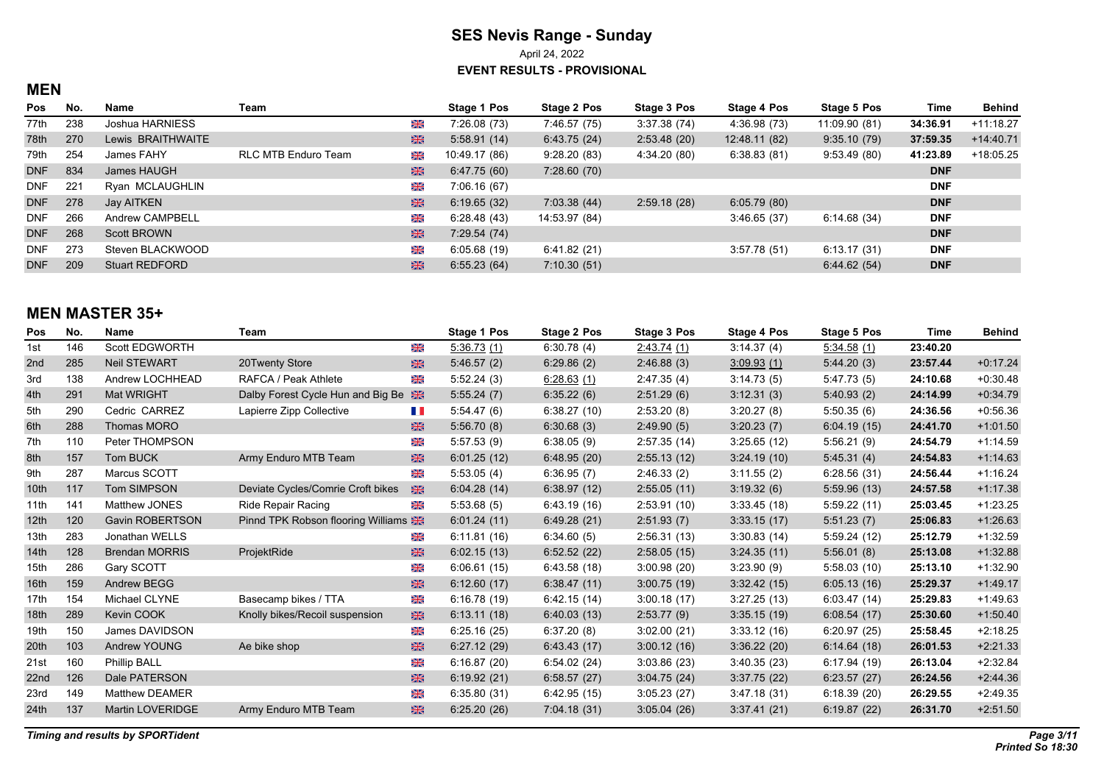# **SES Nevis Range - Sunday** April 24, 2022

**EVENT RESULTS - PROVISIONAL**

#### **MEN**

| Pos        | No. | Name                  | Team                |    | Stage 1 Pos   | Stage 2 Pos   | Stage 3 Pos  | Stage 4 Pos   | Stage 5 Pos   | Time       | Behind      |
|------------|-----|-----------------------|---------------------|----|---------------|---------------|--------------|---------------|---------------|------------|-------------|
| 77th       | 238 | Joshua HARNIESS       |                     | 米  | 7:26.08(73)   | 7:46.57 (75)  | 3:37.38(74)  | 4:36.98 (73)  | 11:09.90 (81) | 34:36.91   | $+11:18.27$ |
| 78th       | 270 | Lewis BRAITHWAITE     |                     | 米  | 5.58.91(14)   | 6.43.75(24)   | 2.53.48(20)  | 12:48.11 (82) | 9.35.10(79)   | 37:59.35   | $+14.40.71$ |
| 79th       | 254 | James FAHY            | RLC MTB Enduro Team | 米  | 10:49.17 (86) | 9.28.20(83)   | 4:34.20 (80) | 6:38.83(81)   | 9.53.49(80)   | 41:23.89   | $+18.05.25$ |
| <b>DNF</b> | 834 | James HAUGH           |                     | 米  | 6.47.75(60)   | 7:28.60(70)   |              |               |               | <b>DNF</b> |             |
| <b>DNF</b> | 221 | Ryan MCLAUGHLIN       |                     | Ж  | 7:06.16 (67)  |               |              |               |               | <b>DNF</b> |             |
| <b>DNF</b> | 278 | Jay AITKEN            |                     | 米  | 6.19.65(32)   | 7:03.38(44)   | 2.59.18(28)  | 6.05.79(80)   |               | <b>DNF</b> |             |
| <b>DNF</b> | 266 | Andrew CAMPBELL       |                     | 米  | 6.28.48(43)   | 14:53.97 (84) |              | 3:46.65(37)   | 6.14.68(34)   | <b>DNF</b> |             |
| <b>DNF</b> | 268 | <b>Scott BROWN</b>    |                     | 米  | 7:29.54 (74)  |               |              |               |               | <b>DNF</b> |             |
| <b>DNF</b> | 273 | Steven BLACKWOOD      |                     | XK | 6.0568(19)    | 6.41.82(21)   |              | 3:57.78(51)   | 6:13.17(31)   | <b>DNF</b> |             |
| <b>DNF</b> | 209 | <b>Stuart REDFORD</b> |                     | 米  | 6.55.23(64)   | 7:10.30(51)   |              |               | 6.44.62(54)   | <b>DNF</b> |             |

## **MEN MASTER 35+**

| Pos              | No. | <b>Name</b>            | Team                               |               | Stage 1 Pos | Stage 2 Pos | <b>Stage 3 Pos</b> | Stage 4 Pos | Stage 5 Pos | Time     | <b>Behind</b> |
|------------------|-----|------------------------|------------------------------------|---------------|-------------|-------------|--------------------|-------------|-------------|----------|---------------|
| 1st              | 146 | Scott EDGWORTH         |                                    | ⋇             | 5:36.73(1)  | 6.30.78(4)  | 2:43.74(1)         | 3:14.37(4)  | 5:34.58(1)  | 23:40.20 |               |
| 2nd              | 285 | <b>Neil STEWART</b>    | 20Twenty Store                     | 米             | 5:46.57(2)  | 6:29.86(2)  | 2:46.88(3)         | 3.09.93(1)  | 5.44.20(3)  | 23:57.44 | $+0.17.24$    |
| 3rd              | 138 | Andrew LOCHHEAD        | RAFCA / Peak Athlete               | 米             | 5:52.24(3)  | 6.28.63(1)  | 2.47.35(4)         | 3:14.73(5)  | 5.47.73(5)  | 24:10.68 | $+0.30.48$    |
| 4th              | 291 | Mat WRIGHT             | Dalby Forest Cycle Hun and Big Be  | 米             | 5:55.24(7)  | 6.35.22(6)  | 2.51.29(6)         | 3.12.31(3)  | 5.40.93(2)  | 24:14.99 | $+0.34.79$    |
| 5th              | 290 | Cedric CARREZ          | Lapierre Zipp Collective           | H.            | 5:54.47(6)  | 6:38.27(10) | 2:53.20(8)         | 3:20.27(8)  | 5:50.35(6)  | 24:36.56 | $+0.56.36$    |
| 6th              | 288 | Thomas MORO            |                                    | 米             | 5:56.70(8)  | 6:30.68(3)  | 2.49.90(5)         | 3:20.23(7)  | 6:04.19(15) | 24:41.70 | $+1:01.50$    |
| 7th              | 110 | Peter THOMPSON         |                                    | <b>SK</b>     | 5.57.53(9)  | 6.38.05(9)  | 2:57.35(14)        | 3:25.65(12) | 5:56.21(9)  | 24:54.79 | $+1:14.59$    |
| 8th              | 157 | Tom BUCK               | Army Enduro MTB Team               | 米             | 6.01.25(12) | 6.48.95(20) | 2:55.13(12)        | 3:24.19(10) | 5.45.31(4)  | 24:54.83 | $+1:14.63$    |
| 9th              | 287 | Marcus SCOTT           |                                    | $\frac{1}{2}$ | 5:53.05(4)  | 6.36.95(7)  | 2:46.33(2)         | 3:11.55(2)  | 6:28.56(31) | 24:56.44 | $+1:16.24$    |
| 10th             | 117 | <b>Tom SIMPSON</b>     | Deviate Cycles/Comrie Croft bikes  | $rac{1}{2}$   | 6.04.28(14) | 6.38.97(12) | 2:55.05(11)        | 3:19.32(6)  | 5:59.96(13) | 24:57.58 | $+1:17.38$    |
| 11th             | 141 | Matthew JONES          | <b>Ride Repair Racing</b>          | Ж             | 5:53.68(5)  | 6.43.19(16) | 2.53.91(10)        | 3:33.45(18) | 5:59.22(11) | 25:03.45 | $+1:23.25$    |
| 12 <sub>th</sub> | 120 | <b>Gavin ROBERTSON</b> | Pinnd TPK Robson flooring Williams |               | 6.01.24(11) | 6.49.28(21) | 2:51.93(7)         | 3:33.15(17) | 5:51.23(7)  | 25:06.83 | $+1.26.63$    |
| 13th             | 283 | Jonathan WELLS         |                                    | ⋇             | 6:11.81(16) | 6:34.60(5)  | 2:56.31(13)        | 3:30.83(14) | 5:59.24(12) | 25:12.79 | $+1:32.59$    |
| 14 <sub>th</sub> | 128 | <b>Brendan MORRIS</b>  | ProjektRide                        | 米             | 6.02.15(13) | 6.52.52(22) | 2:58.05(15)        | 3.24.35(11) | 5.56.01(8)  | 25:13.08 | $+1:32.88$    |
| 15th             | 286 | Gary SCOTT             |                                    | Ж             | 6.06.61(15) | 6.43.58(18) | 3.00.98(20)        | 3:23.90(9)  | 5:58.03(10) | 25:13.10 | $+1.32.90$    |
| 16th             | 159 | Andrew BEGG            |                                    | 噐             | 6:12.60(17) | 6.38.47(11) | 3:00.75(19)        | 3.32.42(15) | 6.05.13(16) | 25:29.37 | $+1.49.17$    |
| 17th             | 154 | Michael CLYNE          | Basecamp bikes / TTA               | Ж             | 6:16.78(19) | 6.42.15(14) | 3.00.18(17)        | 3:27.25(13) | 6:03.47(14) | 25:29.83 | $+1.49.63$    |
| 18th             | 289 | Kevin COOK             | Knolly bikes/Recoil suspension     | 米             | 6:13.11(18) | 6:40.03(13) | 2:53.77(9)         | 3:35.15(19) | 6:08.54(17) | 25:30.60 | $+1:50.40$    |
| 19th             | 150 | James DAVIDSON         |                                    | ⋇             | 6:25.16(25) | 6:37.20(8)  | 3:02.00(21)        | 3:33.12(16) | 6:20.97(25) | 25:58.45 | $+2:18.25$    |
| 20th             | 103 | <b>Andrew YOUNG</b>    | Ae bike shop                       | 米             | 6:27.12(29) | 6.43.43(17) | 3.00.12(16)        | 3:36.22(20) | 6.14.64(18) | 26:01.53 | $+2:21.33$    |
| 21st             | 160 | <b>Phillip BALL</b>    |                                    | Ж             | 6:16.87(20) | 6.54.02(24) | 3.03.86(23)        | 3.40.35(23) | 6:17.94(19) | 26:13.04 | $+2:32.84$    |
| 22nd             | 126 | Dale PATERSON          |                                    | 米             | 6:19.92(21) | 6.58.57(27) | 3.04.75(24)        | 3.37.75(22) | 6:23.57(27) | 26:24.56 | $+2.44.36$    |
| 23rd             | 149 | <b>Matthew DEAMER</b>  |                                    | Ж             | 6.35.80(31) | 6.42.95(15) | 3.05.23(27)        | 3.47.18(31) | 6:18.39(20) | 26:29.55 | $+2.49.35$    |
| 24th             | 137 | Martin LOVERIDGE       | Army Enduro MTB Team               | 米             | 6:25.20(26) | 7:04.18(31) | 3:05.04(26)        | 3:37.41(21) | 6:19.87(22) | 26:31.70 | $+2:51.50$    |
|                  |     |                        |                                    |               |             |             |                    |             |             |          |               |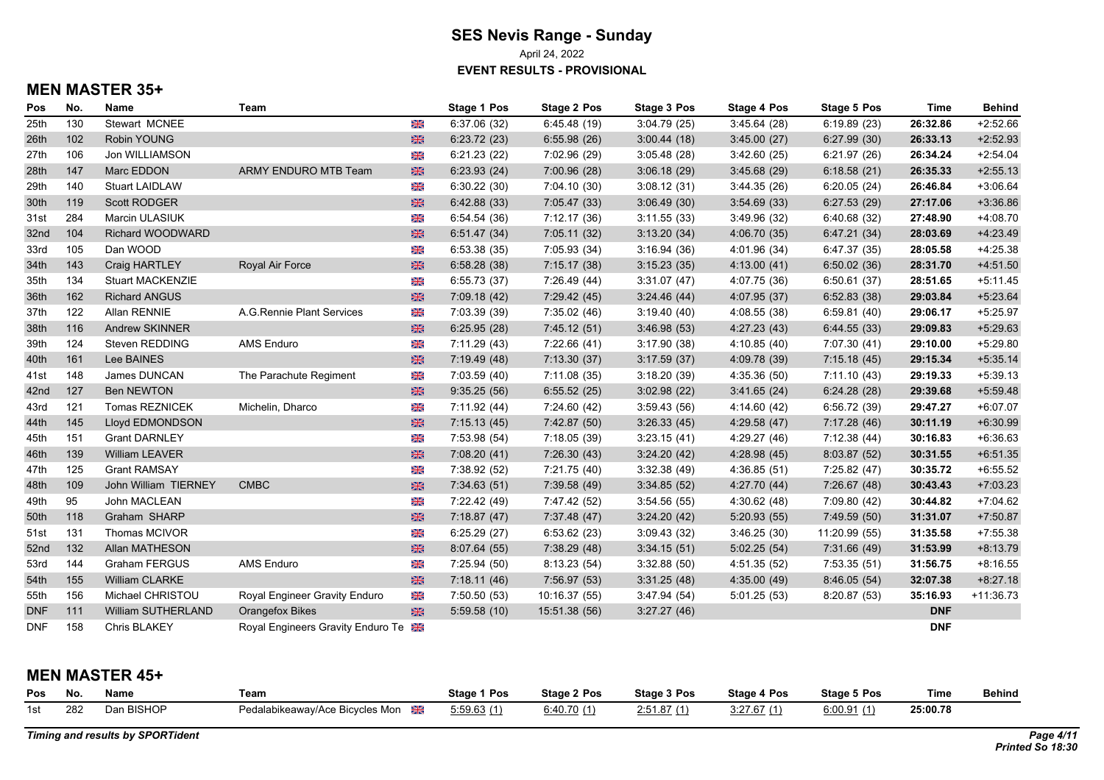April 24, 2022

**EVENT RESULTS - PROVISIONAL**

## **MEN MASTER 35+**

| Pos        | No. | <b>Name</b>             | Team                              |                | Stage 1 Pos  | Stage 2 Pos   | Stage 3 Pos | Stage 4 Pos  | Stage 5 Pos   | <b>Time</b> | <b>Behind</b> |
|------------|-----|-------------------------|-----------------------------------|----------------|--------------|---------------|-------------|--------------|---------------|-------------|---------------|
| 25th       | 130 | Stewart MCNEE           |                                   | XK             | 6:37.06(32)  | 6:45.48(19)   | 3:04.79(25) | 3:45.64(28)  | 6:19.89(23)   | 26:32.86    | $+2:52.66$    |
| 26th       | 102 | Robin YOUNG             |                                   | $\frac{N}{2}$  | 6:23.72(23)  | 6:55.98(26)   | 3:00.44(18) | 3:45.00(27)  | 6:27.99(30)   | 26:33.13    | $+2:52.93$    |
| 27th       | 106 | Jon WILLIAMSON          |                                   | XK             | 6:21.23(22)  | 7:02.96 (29)  | 3:05.48(28) | 3:42.60(25)  | 6:21.97(26)   | 26:34.24    | $+2:54.04$    |
| 28th       | 147 | Marc EDDON              | ARMY ENDURO MTB Team              | 米              | 6:23.93(24)  | 7:00.96(28)   | 3.06.18(29) | 3.45.68(29)  | 6:18.58(21)   | 26:35.33    | $+2.55.13$    |
| 29th       | 140 | <b>Stuart LAIDLAW</b>   |                                   | 米              | 6:30.22(30)  | 7:04.10 (30)  | 3:08.12(31) | 3.44.35(26)  | 6:20.05(24)   | 26:46.84    | $+3.06.64$    |
| 30th       | 119 | Scott RODGER            |                                   | 米              | 6.42.88(33)  | 7:05.47 (33)  | 3.06.49(30) | 3.54.69(33)  | 6:27.53(29)   | 27:17.06    | $+3.36.86$    |
| 31st       | 284 | Marcin ULASIUK          |                                   | XK             | 6:54.54(36)  | 7:12.17 (36)  | 3:11.55(33) | 3.49.96(32)  | 6:40.68(32)   | 27:48.90    | $+4:08.70$    |
| 32nd       | 104 | Richard WOODWARD        |                                   | $\frac{N}{2N}$ | 6:51.47(34)  | 7:05.11 (32)  | 3:13.20(34) | 4:06.70(35)  | 6:47.21(34)   | 28:03.69    | $+4.23.49$    |
| 33rd       | 105 | Dan WOOD                |                                   | X              | 6:53.38(35)  | 7:05.93(34)   | 3:16.94(36) | 4:01.96 (34) | 6:47.37(35)   | 28:05.58    | $+4:25.38$    |
| 34th       | 143 | Craig HARTLEY           | Royal Air Force                   | $\frac{N}{2N}$ | 6:58.28(38)  | 7:15.17(38)   | 3:15.23(35) | 4:13.00(41)  | 6:50.02(36)   | 28:31.70    | $+4:51.50$    |
| 35th       | 134 | <b>Stuart MACKENZIE</b> |                                   | XK             | 6:55.73(37)  | 7:26.49(44)   | 3:31.07(47) | 4:07.75 (36) | 6:50.61(37)   | 28:51.65    | $+5:11.45$    |
| 36th       | 162 | <b>Richard ANGUS</b>    |                                   | $\frac{N}{2N}$ | 7:09.18(42)  | 7:29.42(45)   | 3:24.46(44) | 4:07.95 (37) | 6:52.83(38)   | 29:03.84    | $+5:23.64$    |
| 37th       | 122 | Allan RENNIE            | A.G.Rennie Plant Services         | XK             | 7:03.39 (39) | 7:35.02 (46)  | 3:19.40(40) | 4:08.55(38)  | 6:59.81(40)   | 29:06.17    | $+5:25.97$    |
| 38th       | 116 | Andrew SKINNER          |                                   | $\frac{N}{2N}$ | 6:25.95(28)  | 7:45.12(51)   | 3:46.98(53) | 4:27.23(43)  | 6:44.55(33)   | 29:09.83    | $+5:29.63$    |
| 39th       | 124 | Steven REDDING          | <b>AMS Enduro</b>                 | XK             | 7:11.29 (43) | 7:22.66 (41)  | 3:17.90(38) | 4:10.85(40)  | 7:07.30 (41)  | 29:10.00    | $+5:29.80$    |
| 40th       | 161 | Lee BAINES              |                                   | $\frac{N}{2N}$ | 7:19.49(48)  | 7:13.30(37)   | 3:17.59(37) | 4:09.78 (39) | 7:15.18(45)   | 29:15.34    | $+5:35.14$    |
| 41st       | 148 | James DUNCAN            | The Parachute Regiment            | $\frac{1}{2}$  | 7:03.59(40)  | 7:11.08(35)   | 3:18.20(39) | 4:35.36(50)  | 7:11.10(43)   | 29:19.33    | $+5:39.13$    |
| 42nd       | 127 | <b>Ben NEWTON</b>       |                                   | $\frac{N}{2}$  | 9:35.25(56)  | 6:55.52(25)   | 3:02.98(22) | 3.41.65(24)  | 6:24.28(28)   | 29:39.68    | $+5.59.48$    |
| 43rd       | 121 | Tomas REZNICEK          | Michelin, Dharco                  | XK             | 7:11.92(44)  | 7:24.60 (42)  | 3:59.43(56) | 4:14.60(42)  | 6:56.72(39)   | 29:47.27    | $+6:07.07$    |
| 44th       | 145 | Lloyd EDMONDSON         |                                   | $rac{1}{2}$    | 7:15.13(45)  | 7:42.87(50)   | 3:26.33(45) | 4:29.58(47)  | 7:17.28(46)   | 30:11.19    | $+6:30.99$    |
| 45th       | 151 | <b>Grant DARNLEY</b>    |                                   | XK             | 7:53.98(54)  | 7:18.05(39)   | 3:23.15(41) | 4:29.27(46)  | 7:12.38(44)   | 30:16.83    | $+6.36.63$    |
| 46th       | 139 | <b>William LEAVER</b>   |                                   | $\frac{1}{2}$  | 7:08.20(41)  | 7:26.30(43)   | 3:24.20(42) | 4:28.98(45)  | 8:03.87 (52)  | 30:31.55    | $+6.51.35$    |
| 47th       | 125 | <b>Grant RAMSAY</b>     |                                   | XK             | 7:38.92 (52) | 7:21.75(40)   | 3:32.38(49) | 4:36.85(51)  | 7:25.82 (47)  | 30:35.72    | $+6:55.52$    |
| 48th       | 109 | John William TIERNEY    | <b>CMBC</b>                       | $\frac{N}{2N}$ | 7:34.63(51)  | 7:39.58 (49)  | 3:34.85(52) | 4:27.70 (44) | 7:26.67(48)   | 30:43.43    | $+7:03.23$    |
| 49th       | 95  | John MACLEAN            |                                   | $\frac{1}{2}$  | 7:22.42 (49) | 7:47.42 (52)  | 3:54.56(55) | 4:30.62(48)  | 7:09.80 (42)  | 30:44.82    | $+7:04.62$    |
| 50th       | 118 | Graham SHARP            |                                   | 米              | 7:18.87(47)  | 7:37.48(47)   | 3:24.20(42) | 5:20.93(55)  | 7:49.59 (50)  | 31:31.07    | $+7:50.87$    |
| 51st       | 131 | Thomas MCIVOR           |                                   | $\frac{1}{2}$  | 6:25.29(27)  | 6:53.62(23)   | 3:09.43(32) | 3:46.25(30)  | 11:20.99 (55) | 31:35.58    | $+7:55.38$    |
| 52nd       | 132 | Allan MATHESON          |                                   | 米              | 8.07.64(55)  | 7:38.29 (48)  | 3.34.15(51) | 5:02.25(54)  | 7:31.66 (49)  | 31:53.99    | $+8.13.79$    |
| 53rd       | 144 | Graham FERGUS           | <b>AMS Enduro</b>                 | XK             | 7:25.94(50)  | 8:13.23(54)   | 3:32.88(50) | 4:51.35(52)  | 7:53.35(51)   | 31:56.75    | $+8:16.55$    |
| 54th       | 155 | <b>William CLARKE</b>   |                                   | $rac{1}{2}$    | 7:18.11(46)  | 7:56.97 (53)  | 3:31.25(48) | 4:35.00 (49) | 8:46.05(54)   | 32:07.38    | $+8.27.18$    |
| 55th       | 156 | Michael CHRISTOU        | Royal Engineer Gravity Enduro     | Ж              | 7:50.50 (53) | 10:16.37 (55) | 3.47.94(54) | 5:01.25(53)  | 8:20.87(53)   | 35:16.93    | $+11:36.73$   |
| <b>DNF</b> | 111 | William SUTHERLAND      | <b>Orangefox Bikes</b>            | 器              | 5:59.58(10)  | 15:51.38 (56) | 3:27.27(46) |              |               | <b>DNF</b>  |               |
| <b>DNF</b> | 158 | Chris BLAKEY            | Royal Engineers Gravity Enduro Te |                |              |               |             |              |               | <b>DNF</b>  |               |

## **MEN MASTER 45+**

| Pos | No  | Nam⊾                 | Team                                        | Stage 1 Pos | Stage 2 Pos | Stage 3 Pos | Stage 4 Pos    | 5 Pos<br>Staɑe | Time     | Behind |
|-----|-----|----------------------|---------------------------------------------|-------------|-------------|-------------|----------------|----------------|----------|--------|
| 1st | 282 | <b>BISHOF</b><br>∩ar | Mon<br>dalabikeawav/Ace Bicvcles I<br>امحدا | 5:59.63(1)  | 6:40.       | 2:51.87     | $\overline{1}$ | 6.00.91        | 25:00.78 |        |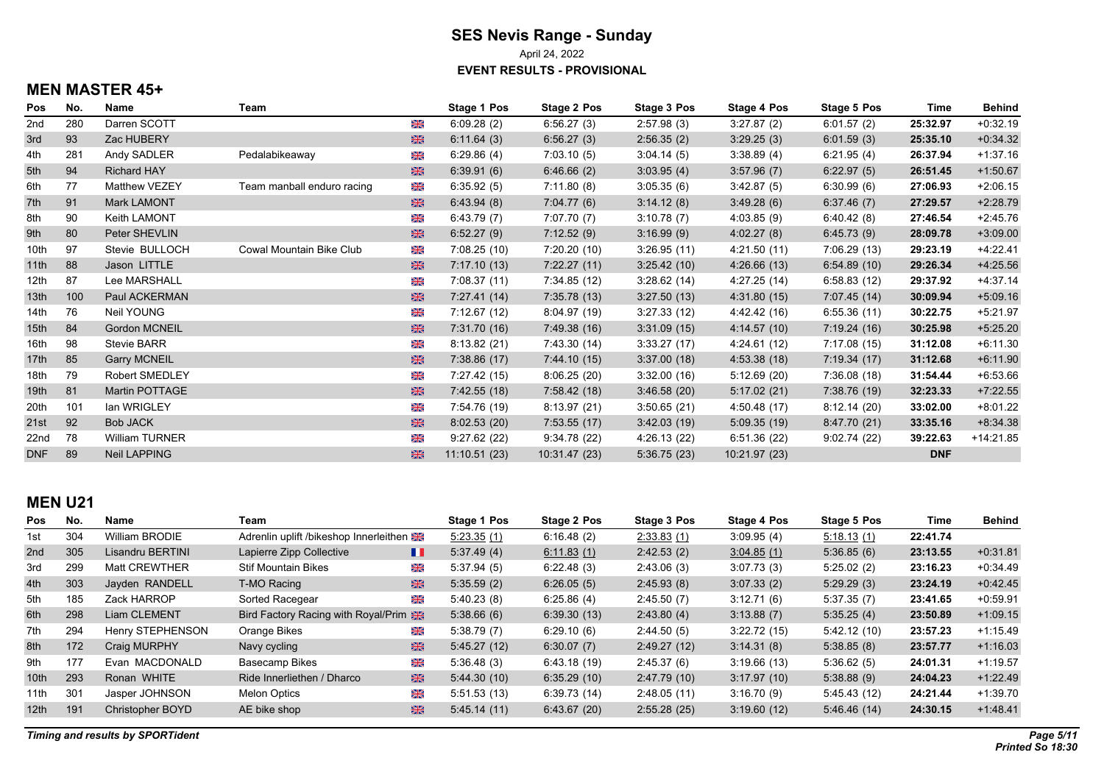April 24, 2022

**EVENT RESULTS - PROVISIONAL**

# **MEN MASTER 45+**

| Pos              | No. | <b>Name</b>           | Team                       |   | Stage 1 Pos  | Stage 2 Pos  | Stage 3 Pos  | Stage 4 Pos  | Stage 5 Pos  | Time       | <b>Behind</b> |
|------------------|-----|-----------------------|----------------------------|---|--------------|--------------|--------------|--------------|--------------|------------|---------------|
| 2nd              | 280 | Darren SCOTT          |                            | ⋇ | 6.09.28(2)   | 6:56.27(3)   | 2.57.98(3)   | 3:27.87(2)   | 6.01.57(2)   | 25:32.97   | $+0.32.19$    |
| 3rd              | 93  | Zac HUBERY            |                            | 米 | 6:11.64(3)   | 6:56.27(3)   | 2:56.35(2)   | 3:29.25(3)   | 6:01.59(3)   | 25:35.10   | $+0.34.32$    |
| 4th              | 281 | Andy SADLER           | Pedalabikeaway             | Ж | 6.29.86(4)   | 7:03.10(5)   | 3.04.14(5)   | 3.38.89(4)   | 6.21.95(4)   | 26:37.94   | $+1.37.16$    |
| 5th              | 94  | <b>Richard HAY</b>    |                            | 米 | 6.39.91(6)   | 6.46.66(2)   | 3.03.95(4)   | 3.57.96(7)   | 6.22.97(5)   | 26:51.45   | $+1:50.67$    |
| 6th              | 77  | Matthew VEZEY         | Team manball enduro racing | X | 6:35.92(5)   | 7:11.80(8)   | 3:05.35(6)   | 3:42.87(5)   | 6:30.99(6)   | 27:06.93   | $+2:06.15$    |
| 7th              | 91  | Mark LAMONT           |                            | 米 | 6.43.94(8)   | 7:04.77(6)   | 3.14.12(8)   | 3.49.28(6)   | 6.37.46(7)   | 27:29.57   | $+2:28.79$    |
| 8th              | 90  | <b>Keith LAMONT</b>   |                            | 米 | 6.43.79(7)   | 7:07.70 (7)  | 3:10.78(7)   | 4.03.85(9)   | 6.40.42(8)   | 27:46.54   | $+2:45.76$    |
| 9th              | 80  | Peter SHEVLIN         |                            | 米 | 6:52.27(9)   | 7:12.52(9)   | 3:16.99(9)   | 4:02.27(8)   | 6.45.73(9)   | 28:09.78   | $+3.09.00$    |
| 10th             | 97  | Stevie BULLOCH        | Cowal Mountain Bike Club   | X | 7:08.25(10)  | 7:20.20(10)  | 3:26.95(11)  | 4:21.50(11)  | 7:06.29(13)  | 29:23.19   | $+4.22.41$    |
| 11th             | 88  | Jason LITTLE          |                            | 米 | 7.17.10(13)  | 7:22.27(11)  | 3.25.42(10)  | 4:26.66(13)  | 6.54.89(10)  | 29:26.34   | $+4.25.56$    |
| 12th             | 87  | Lee MARSHALL          |                            | X | 7:08.37(11)  | 7:34.85 (12) | 3:28.62(14)  | 4:27.25 (14) | 6:58.83(12)  | 29:37.92   | +4:37.14      |
| 13 <sub>th</sub> | 100 | Paul ACKERMAN         |                            | 米 | 7:27.41(14)  | 7:35.78(13)  | 3:27.50(13)  | 4:31.80(15)  | 7:07.45(14)  | 30:09.94   | $+5.09.16$    |
| 14th             | 76  | Neil YOUNG            |                            | X | 7:12.67(12)  | 8.04.97(19)  | 3:27.33(12)  | 4.42.42 (16) | 6:55.36(11)  | 30:22.75   | $+5:21.97$    |
| 15 <sub>th</sub> | 84  | <b>Gordon MCNEIL</b>  |                            | 米 | 7:31.70 (16) | 7:49.38 (16) | 3.31.09(15)  | 4:14.57(10)  | 7:19.24(16)  | 30:25.98   | $+5:25.20$    |
| 16th             | 98  | Stevie BARR           |                            | X | 8.13.82(21)  | 7:43.30 (14) | 3:33.27(17)  | 4:24.61 (12) | 7:17.08(15)  | 31:12.08   | $+6:11.30$    |
| 17th             | 85  | <b>Garry MCNEIL</b>   |                            | 米 | 7:38.86(17)  | 7:44.10 (15) | 3.37.00(18)  | 4.53.38(18)  | 7:19.34(17)  | 31:12.68   | $+6.11.90$    |
| 18th             | 79  | <b>Robert SMEDLEY</b> |                            | 米 | 7:27.42 (15) | 8.06.25(20)  | 3:32.00(16)  | 5:12.69(20)  | 7:36.08(18)  | 31:54.44   | $+6.53.66$    |
| 19 <sub>th</sub> | 81  | Martin POTTAGE        |                            | 米 | 7.42.55(18)  | 7:58.42 (18) | 3.46.58(20)  | 5:17.02(21)  | 7:38.76 (19) | 32:23.33   | $+7:22.55$    |
| 20th             | 101 | lan WRIGLEY           |                            | ⋇ | 7:54.76 (19) | 8:13.97 (21) | 3:50.65(21)  | 4:50.48 (17) | 8:12.14(20)  | 33:02.00   | $+8:01.22$    |
| 21st             | 92  | <b>Bob JACK</b>       |                            | 米 | 8:02.53(20)  | 7:53.55(17)  | 3.42.03(19)  | 5.09.35(19)  | 8.47.70(21)  | 33:35.16   | $+8.34.38$    |
| 22nd             | 78  | <b>William TURNER</b> |                            | Ж | 9.27.62(22)  | 9.34.78 (22) | 4:26.13 (22) | 6.51.36(22)  | 9.02.74(22)  | 39:22.63   | +14:21.85     |
| <b>DNF</b>       | 89  | <b>Neil LAPPING</b>   |                            | 米 | 11:10.51(23) | 10.31.47(23) | 5:36.75(23)  | 10.21.97(23) |              | <b>DNF</b> |               |

#### **MEN U21**

| <b>Pos</b>       | No. | Name                    | Team                                   |   | Stage 1 Pos | Stage 2 Pos | Stage 3 Pos | Stage 4 Pos | <b>Stage 5 Pos</b> | Time     | <b>Behind</b> |
|------------------|-----|-------------------------|----------------------------------------|---|-------------|-------------|-------------|-------------|--------------------|----------|---------------|
| 1st              | 304 | William BRODIE          | Adrenlin uplift /bikeshop Innerleithen |   | 5.23.35(1)  | 6:16.48(2)  | 2.33.83 (1) | 3:09.95(4)  | 5:18.13(1)         | 22:41.74 |               |
| 2 <sub>nd</sub>  | 305 | Lisandru BERTINI        | Lapierre Zipp Collective               | H | 5:37.49(4)  | 6.11.83(1)  | 2.42.53(2)  | 3:04.85(1)  | 5.36.85(6)         | 23:13.55 | $+0.31.81$    |
| 3rd              | 299 | <b>Matt CREWTHER</b>    | <b>Stif Mountain Bikes</b>             | Ж | 5.37.94(5)  | 6:22.48(3)  | 2:43.06(3)  | 3:07.73(3)  | 5:25.02(2)         | 23:16.23 | $+0.34.49$    |
| 4th              | 303 | Javden RANDELL          | T-MO Racing                            | 米 | 5:35.59(2)  | 6:26.05(5)  | 2:45.93(8)  | 3:07.33(2)  | 5:29.29(3)         | 23:24.19 | $+0.42.45$    |
| 5th              | 185 | Zack HARROP             | Sorted Racegear                        | Ж | 5.40.23(8)  | 6:25.86(4)  | 2:45.50(7)  | 3:12.71(6)  | 5:37.35(7)         | 23:41.65 | $+0.59.91$    |
| 6th              | 298 | Liam CLEMENT            | Bird Factory Racing with Royal/Prim    |   | 5:38.66(6)  | 6:39.30(13) | 2:43.80(4)  | 3:13.88(7)  | 5.35.25(4)         | 23:50.89 | $+1:09.15$    |
| 7th              | 294 | Henry STEPHENSON        | Orange Bikes                           | Ж | 5:38.79(7)  | 6.29.10(6)  | 2:44.50(5)  | 3:22.72(15) | 5.42.12(10)        | 23:57.23 | $+1.15.49$    |
| 8th              | 172 | <b>Craig MURPHY</b>     | Navy cycling                           | 米 | 5.45.27(12) | 6:30.07(7)  | 2.49.27(12) | 3:14.31(8)  | 5.38.85(8)         | 23:57.77 | $+1.16.03$    |
| 9th              | 177 | Evan MACDONALD          | Basecamp Bikes                         | Ж | 5.36.48(3)  | 6:43.18(19) | 2:45.37(6)  | 3.1966(13)  | 5.36.62(5)         | 24:01.31 | $+1:19.57$    |
| 10th             | 293 | Ronan WHITE             | Ride Innerliethen / Dharco             | 米 | 5.44.30(10) | 6.35.29(10) | 2.47.79(10) | 3:17.97(10) | 5.38.88(9)         | 24:04.23 | $+1.22.49$    |
| 11th             | 301 | Jasper JOHNSON          | <b>Melon Optics</b>                    | Ж | 5:51.53(13) | 6.39.73(14) | 2:48.05(11) | 3:16.70(9)  | 5:45.43 (12)       | 24:21.44 | $+1:39.70$    |
| 12 <sup>th</sup> | 191 | <b>Christopher BOYD</b> | AE bike shop                           | 米 | 5.45.14(11) | 6.43.67(20) | 2:55.28(25) | 3.19.60(12) | 5.46.46(14)        | 24:30.15 | $+1.48.41$    |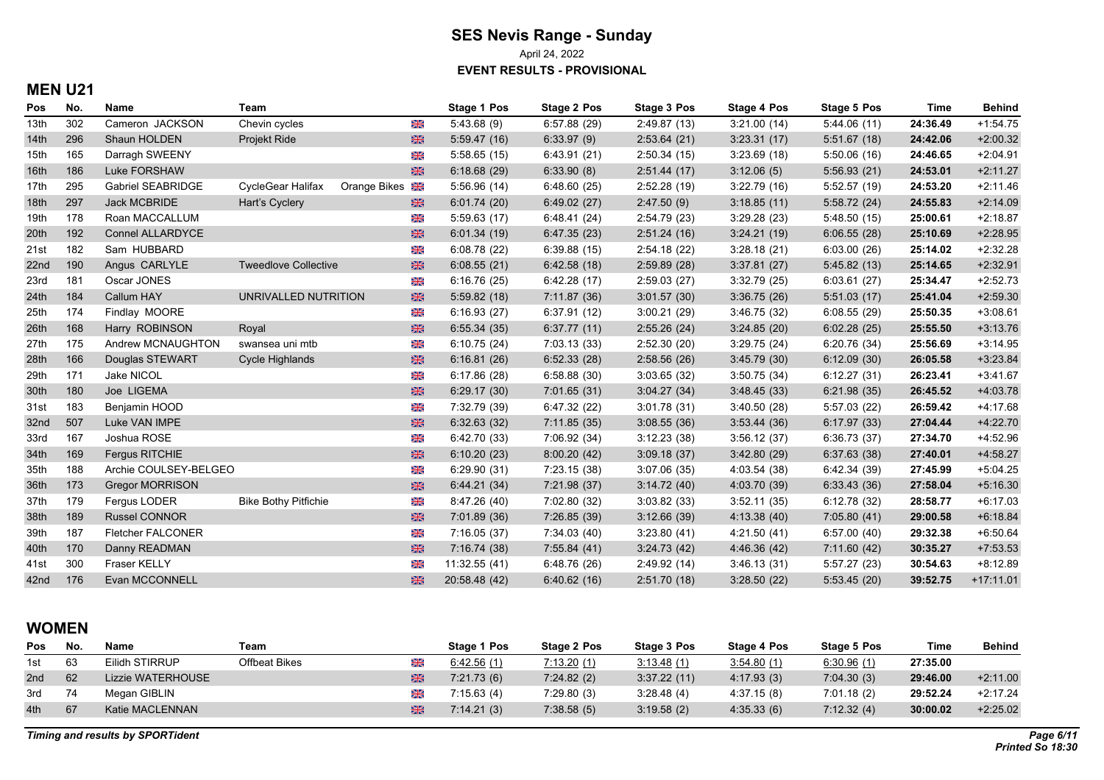April 24, 2022

**EVENT RESULTS - PROVISIONAL**

## **MEN U21**

| Pos              | No. | Name                     | Team                        |                     | Stage 1 Pos   | <b>Stage 2 Pos</b> | <b>Stage 3 Pos</b> | Stage 4 Pos  | <b>Stage 5 Pos</b> | <b>Time</b> | <b>Behind</b> |
|------------------|-----|--------------------------|-----------------------------|---------------------|---------------|--------------------|--------------------|--------------|--------------------|-------------|---------------|
| 13th             | 302 | Cameron JACKSON          | Chevin cycles               | XK                  | 5.43.68(9)    | 6.57.88(29)        | 2:49.87(13)        | 3:21.00(14)  | 5.44.06(11)        | 24:36.49    | $+1:54.75$    |
| 14 <sub>th</sub> | 296 | Shaun HOLDEN             | Projekt Ride                | 米                   | 5.59.47(16)   | 6.33.97(9)         | 2:53.64(21)        | 3:23.31(17)  | 5:51.67(18)        | 24:42.06    | $+2:00.32$    |
| 15th             | 165 | Darragh SWEENY           |                             | ※                   | 5:58.65(15)   | 6.43.91(21)        | 2:50.34(15)        | 3:23.69(18)  | 5:50.06(16)        | 24:46.65    | $+2:04.91$    |
| 16th             | 186 | Luke FORSHAW             |                             | $rac{1}{2}$         | 6:18.68(29)   | 6.33.90(8)         | 2:51.44(17)        | 3.12.06(5)   | 5:56.93(21)        | 24:53.01    | $+2:11.27$    |
| 17th             | 295 | Gabriel SEABRIDGE        | CycleGear Halifax           | <b>Orange Bikes</b> | 5:56.96(14)   | 6:48.60(25)        | 2:52.28(19)        | 3.22.79(16)  | 5:52.57 (19)       | 24:53.20    | $+2:11.46$    |
| 18th             | 297 | Jack MCBRIDE             | Hart's Cyclery              | 米                   | 6.01.74(20)   | 6.49.02(27)        | 2.47.50(9)         | 3:18.85(11)  | 5:58.72(24)        | 24:55.83    | $+2:14.09$    |
| 19th             | 178 | Roan MACCALLUM           |                             | 米                   | 5:59.63(17)   | 6:48.41 (24)       | 2:54.79 (23)       | 3.29.28(23)  | 5:48.50(15)        | 25:00.61    | $+2:18.87$    |
| 20th             | 192 | <b>Connel ALLARDYCE</b>  |                             | 米                   | 6.01.34(19)   | 6.47.35(23)        | 2:51.24(16)        | 3:24.21(19)  | 6:06.55(28)        | 25:10.69    | $+2:28.95$    |
| 21st             | 182 | Sam HUBBARD              |                             | X                   | 6:08.78(22)   | 6:39.88(15)        | 2.54.18(22)        | 3:28.18(21)  | 6:03.00(26)        | 25:14.02    | $+2:32.28$    |
| 22nd             | 190 | Angus CARLYLE            | <b>Tweedlove Collective</b> | 米                   | 6:08.55(21)   | 6.42.58(18)        | 2:59.89(28)        | 3.37.81(27)  | 5.45.82(13)        | 25:14.65    | $+2:32.91$    |
| 23rd             | 181 | Oscar JONES              |                             | 米                   | 6:16.76(25)   | 6:42.28(17)        | 2:59.03(27)        | 3:32.79(25)  | 6:03.61(27)        | 25:34.47    | $+2:52.73$    |
| 24th             | 184 | Callum HAY               | UNRIVALLED NUTRITION        | 米                   | 5:59.82(18)   | 7:11.87(36)        | 3.01.57(30)        | 3.36.75(26)  | 5:51.03(17)        | 25:41.04    | $+2:59.30$    |
| 25th             | 174 | Findlay MOORE            |                             | XK                  | 6:16.93(27)   | 6.37.91(12)        | 3:00.21(29)        | 3.46.75(32)  | 6:08.55(29)        | 25:50.35    | $+3:08.61$    |
| 26th             | 168 | Harry ROBINSON           | Royal                       | 米                   | 6:55.34(35)   | 6:37.77(11)        | 2:55.26(24)        | 3:24.85(20)  | 6:02.28(25)        | 25:55.50    | $+3:13.76$    |
| 27th             | 175 | Andrew MCNAUGHTON        | swansea uni mtb             | Ж                   | 6:10.75(24)   | 7:03.13 (33)       | 2.52.30(20)        | 3.29.75(24)  | 6:20.76(34)        | 25:56.69    | $+3:14.95$    |
| 28th             | 166 | Douglas STEWART          | Cycle Highlands             | 米                   | 6:16.81(26)   | 6.52.33(28)        | 2:58.56(26)        | 3.45.79(30)  | 6:12.09(30)        | 26:05.58    | $+3.23.84$    |
| 29th             | 171 | Jake NICOL               |                             | ※                   | 6:17.86(28)   | 6:58.88(30)        | 3:03.65(32)        | 3:50.75(34)  | 6:12.27(31)        | 26:23.41    | $+3.41.67$    |
| 30th             | 180 | Joe LIGEMA               |                             | 米                   | 6:29.17(30)   | 7:01.65(31)        | 3.04.27(34)        | 3.48.45(33)  | 6:21.98(35)        | 26:45.52    | $+4:03.78$    |
| 31st             | 183 | Benjamin HOOD            |                             | ※                   | 7:32.79 (39)  | 6:47.32 (22)       | 3:01.78(31)        | 3:40.50(28)  | 5:57.03(22)        | 26:59.42    | $+4:17.68$    |
| 32nd             | 507 | Luke VAN IMPE            |                             | 米                   | 6:32.63(32)   | 7:11.85 (35)       | 3.08.55(36)        | 3.53.44(36)  | 6:17.97(33)        | 27:04.44    | $+4:22.70$    |
| 33rd             | 167 | Joshua ROSE              |                             | 米                   | 6:42.70(33)   | 7:06.92 (34)       | 3:12.23(38)        | 3:56.12(37)  | 6:36.73(37)        | 27:34.70    | $+4:52.96$    |
| 34th             | 169 | Fergus RITCHIE           |                             | 米                   | 6:10.20(23)   | 8:00.20(42)        | 3.09.18(37)        | 3.42.80(29)  | 6:37.63(38)        | 27:40.01    | $+4:58.27$    |
| 35th             | 188 | Archie COULSEY-BELGEO    |                             | 米                   | 6:29.90(31)   | 7:23.15 (38)       | 3.07.06(35)        | 4.03.54 (38) | 6.42.34(39)        | 27:45.99    | $+5:04.25$    |
| 36th             | 173 | <b>Gregor MORRISON</b>   |                             | $\frac{N}{2}$       | 6:44.21(34)   | 7:21.98 (37)       | 3:14.72(40)        | 4:03.70 (39) | 6:33.43(36)        | 27:58.04    | $+5:16.30$    |
| 37th             | 179 | Fergus LODER             | <b>Bike Bothy Pitfichie</b> | X                   | 8:47.26 (40)  | 7:02.80 (32)       | 3:03.82(33)        | 3:52.11(35)  | 6:12.78(32)        | 28:58.77    | $+6:17.03$    |
| 38th             | 189 | <b>Russel CONNOR</b>     |                             | 米                   | 7:01.89 (36)  | 7:26.85 (39)       | 3:12.66(39)        | 4:13.38 (40) | 7:05.80(41)        | 29:00.58    | $+6:18.84$    |
| 39th             | 187 | <b>Fletcher FALCONER</b> |                             | 米                   | 7:16.05(37)   | 7:34.03 (40)       | 3:23.80(41)        | 4.21.50(41)  | 6:57.00(40)        | 29:32.38    | $+6.50.64$    |
| 40th             | 170 | Danny READMAN            |                             | 米                   | 7:16.74 (38)  | 7:55.84 (41)       | 3:24.73(42)        | 4:46.36 (42) | 7:11.60(42)        | 30:35.27    | $+7:53.53$    |
| 41st             | 300 | <b>Fraser KELLY</b>      |                             | Ж                   | 11:32.55 (41) | 6:48.76(26)        | 2.49.92(14)        | 3:46.13(31)  | 5:57.27 (23)       | 30:54.63    | $+8:12.89$    |
| 42nd             | 176 | Evan MCCONNELL           |                             | 米                   | 20.58.48 (42) | 6.40.62(16)        | 2:51.70(18)        | 3:28.50(22)  | 5.53.45(20)        | 39:52.75    | $+17:11.01$   |

#### **WOMEN**

| Pos | No. | <b>Name</b>       | Team          |   | <b>Stage 1 Pos</b> | Stage 2 Pos | Stage 3 Pos | Stage 4 Pos | Stage 5 Pos | Time     | <b>Behind</b> |
|-----|-----|-------------------|---------------|---|--------------------|-------------|-------------|-------------|-------------|----------|---------------|
| 1st | 63  | Eilidh STIRRUP    | Offbeat Bikes | ※ | 6:42.56(1)         | 7:13.20(1)  | 3:13.48(1)  | 3.54.80(1)  | 6.30.96(1)  | 27:35.00 |               |
| 2nd | 62  | Lizzie WATERHOUSE |               | Ж | 7:21.73(6)         | 7:24.82(2)  | 3:37.22(11) | 4.17.93(3)  | 7:04.30(3)  | 29:46.00 | $+2:11.00$    |
| 3rd |     | Megan GIBLIN      |               | Ж | 7:15.63(4)         | 7:29.80(3)  | 3:28.48(4)  | 4.37.15(8)  | 7:01.18(2)  | 29:52.24 | $+2:17.24$    |
| 4th | 67  | Katie MACLENNAN   |               |   | 7:14.21(3)         | 7:38.58(5)  | 3:19.58(2)  | 4.35.33(6)  | 7:12.32(4)  | 30:00.02 | $+2:25.02$    |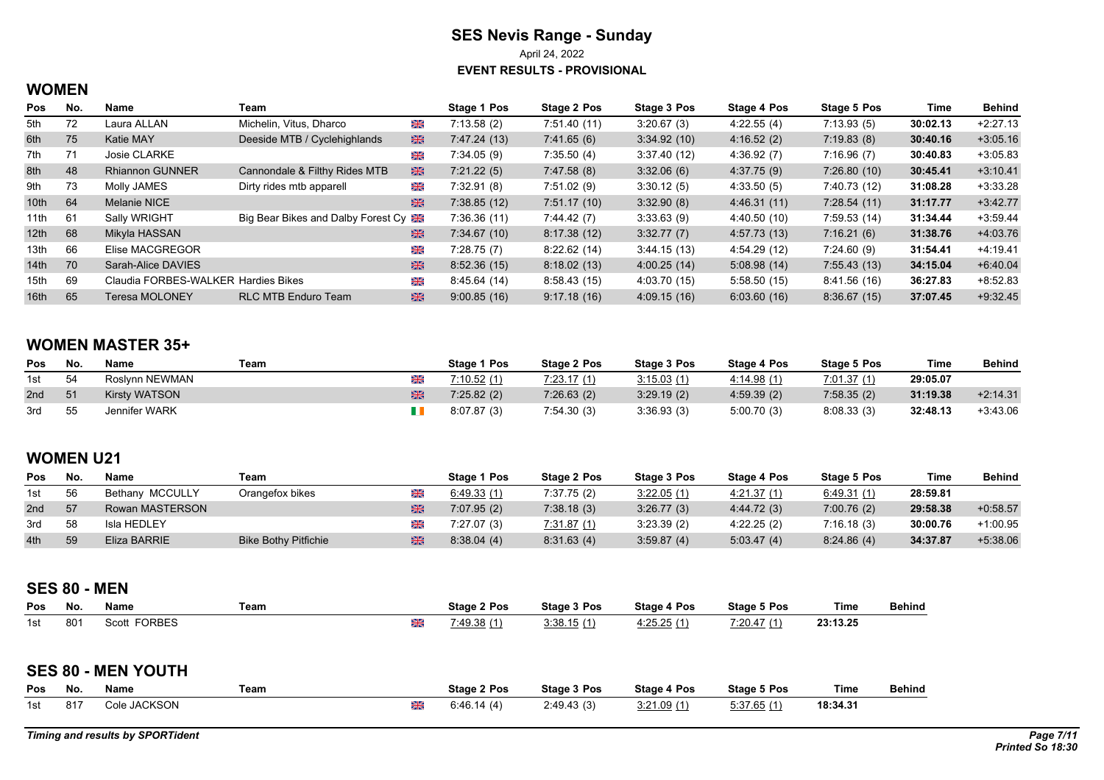April 24, 2022

**EVENT RESULTS - PROVISIONAL**

## **WOMEN**

| Pos              | No. | Name                                | Team                               |             | Stage 1 Pos  | Stage 2 Pos | Stage 3 Pos  | Stage 4 Pos  | Stage 5 Pos  | Time     | Behind     |
|------------------|-----|-------------------------------------|------------------------------------|-------------|--------------|-------------|--------------|--------------|--------------|----------|------------|
| 5th              | 72  | Laura ALLAN                         | Michelin, Vitus, Dharco            | XK          | 7:13.58(2)   | 7:51.40(11) | 3:20.67(3)   | 4:22.55(4)   | 7:13.93(5)   | 30:02.13 | $+2:27.13$ |
| 6th              | 75  | Katie MAY                           | Deeside MTB / Cyclehighlands       | $rac{1}{2}$ | 7:47.24 (13) | 7.41.65(6)  | 3:34.92(10)  | 4:16.52(2)   | 7:19.83(8)   | 30:40.16 | $+3:05.16$ |
| 7th              | 71  | Josie CLARKE                        |                                    | Ж           | 7:34.05(9)   | 7:35.50(4)  | 3:37.40(12)  | 4:36.92(7)   | 7:16.96(7)   | 30:40.83 | $+3:05.83$ |
| 8th              | 48  | <b>Rhiannon GUNNER</b>              | Cannondale & Filthy Rides MTB      | $rac{1}{2}$ | 7:21.22(5)   | 7.47.58(8)  | 3.32.06(6)   | 4:37.75(9)   | 7:26.80(10)  | 30:45.41 | $+3:10.41$ |
| 9th              | 73  | Molly JAMES                         | Dirty rides mtb apparell           | XK          | 7:32.91(8)   | 7:51.02(9)  | 3:30.12(5)   | 4:33.50(5)   | 7:40.73 (12) | 31:08.28 | $+3:33.28$ |
| 10 <sup>th</sup> | 64  | Melanie NICE                        |                                    | 米           | 7:38.85(12)  | 7:51.17(10) | 3:32.90(8)   | 4:46.31 (11) | 7:28.54(11)  | 31:17.77 | $+3.42.77$ |
| 11th             | 61  | Sally WRIGHT                        | Big Bear Bikes and Dalby Forest Cy |             | 7:36.36 (11) | 7:44.42(7)  | 3:33.63(9)   | 4:40.50 (10) | 7:59.53(14)  | 31:34.44 | $+3:59.44$ |
| 12 <sup>th</sup> | 68  | Mikyla HASSAN                       |                                    | 米           | 7:34.67(10)  | 8:17.38(12) | 3:32.77(7)   | 4:57.73 (13) | 7:16.21(6)   | 31:38.76 | +4:03.76   |
| 13th             | 66  | Elise MACGREGOR                     |                                    | ※           | 7:28.75(7)   | 8:22.62(14) | 3.44.15(13)  | 4:54.29 (12) | 7:24.60(9)   | 31:54.41 | $+4:19.41$ |
| 14th             | 70  | Sarah-Alice DAVIES                  |                                    | 米           | 8:52.36(15)  | 8:18.02(13) | 4:00.25(14)  | 5:08.98(14)  | 7:55.43(13)  | 34:15.04 | $+6.40.04$ |
| 15th             | 69  | Claudia FORBES-WALKER Hardies Bikes |                                    | Ж           | 8:45.64 (14) | 8:58.43(15) | 4:03.70 (15) | 5:58.50(15)  | 8:41.56(16)  | 36:27.83 | $+8.52.83$ |
| 16th             | 65  | <b>Teresa MOLONEY</b>               | <b>RLC MTB Enduro Team</b>         | 噐           | 9:00.85(16)  | 9.17.18(16) | 4.09.15(16)  | 6:03.60(16)  | 8:36.67(15)  | 37:07.45 | $+9.32.45$ |

## **WOMEN MASTER 35+**

| Pos | No. | Name                 | Team | Stage 1 Pos | Stage 2 Pos | Stage 3 Pos | Stage 4 Pos | Stage 5 Pos | Time     | <b>Behind</b> |
|-----|-----|----------------------|------|-------------|-------------|-------------|-------------|-------------|----------|---------------|
| 1st | -54 | Roslynn NEWMAN       | ⋇    | 7:10.52(1)  | 7:23.17(1)  | 3:15.03(1)  | 4.14.98(1)  | 7.01.37(1)  | 29:05.07 |               |
| 2nd | -51 | <b>Kirsty WATSON</b> |      | 7:25.82(2)  | 7:26.63(2)  | 3:29.19(2)  | 4:59.39(2)  | 7:58.35(2)  | 31:19.38 | $+2.14.31$    |
| 3rd | -55 | Jennifer WARK        |      | 8:07.87 (3) | 7:54.30(3)  | 3.36.93(3)  | 5:00.70(3)  | 8.08.33(3)  | 32:48.13 | $+3.43.06$    |

## **WOMEN U21**

| <b>Pos</b> | No. | <b>Name</b>     | Team                        | Stage 1 Pos | <b>Stage 2 Pos</b> | <b>Stage 3 Pos</b> | <b>Stage 4 Pos</b> | <b>Stage 5 Pos</b> | Time     | <b>Behind</b> |
|------------|-----|-----------------|-----------------------------|-------------|--------------------|--------------------|--------------------|--------------------|----------|---------------|
| 1st        | 56  | Bethany MCCULLY | Orangefox bikes             | 6.49.33(1)  | 7:37.75(2)         | 3:22.05(1)         | 4.21.37(1)         | 6.49.31(1)         | 28:59.81 |               |
| 2nd        | 57  | Rowan MASTERSON |                             | 7:07.95(2)  | 7:38.18(3)         | 3:26.77(3)         | 4.44.72(3)         | 7:00.76(2)         | 29:58.38 | $+0.58.57$    |
| 3rd        | 58  | Isla HEDLEY     |                             | 7:27.07(3)  | 7:31.87(1)         | 3:23.39(2)         | 4:22.25(2)         | 7:16.18(3)         | 30:00.76 | $+1:00.95$    |
| 4th        | 59  | Eliza BARRIE    | <b>Bike Bothy Pitfichie</b> | 8.38.04(4)  | 8.31.63(4)         | 3.59.87(4)         | 5:03.47(4)         | 8:24.86(4)         | 34:37.87 | $+5.38.06$    |

#### **SES 80 - MEN**

| Pos | No.             | Name                   | Team |    | Stage 2 Pos | Stage 3 Pos | <b>Stage 4 Pos</b> | <b>Stage 5 Pos</b>                  | Time     | <b>Behind</b> |
|-----|-----------------|------------------------|------|----|-------------|-------------|--------------------|-------------------------------------|----------|---------------|
| 1st | 80 <sub>1</sub> | <b>FORBES</b><br>Scott |      | ØR | (1.49.38)   | 3:38.15(1)  | 4:25.25(1)         | $A \rightarrow A$<br>7.00<br>:20.47 | 23:13.25 |               |

#### **SES 80 - MEN YOUTH**

| <b>Pos</b> | No.  | Name         | Team |          | Stage 2 Pos | Stage 3 Pos | Stage 4 Pos | Stage 5 Pos | Time     | <b>Behind</b> |
|------------|------|--------------|------|----------|-------------|-------------|-------------|-------------|----------|---------------|
| 1st        | -817 | Cole JACKSON |      | আ∞<br>Øß | 6:46.14(4)  | 2:49.43(3)  | 3:21.09(1)  | 5:37.65(1)  | 18:34.31 |               |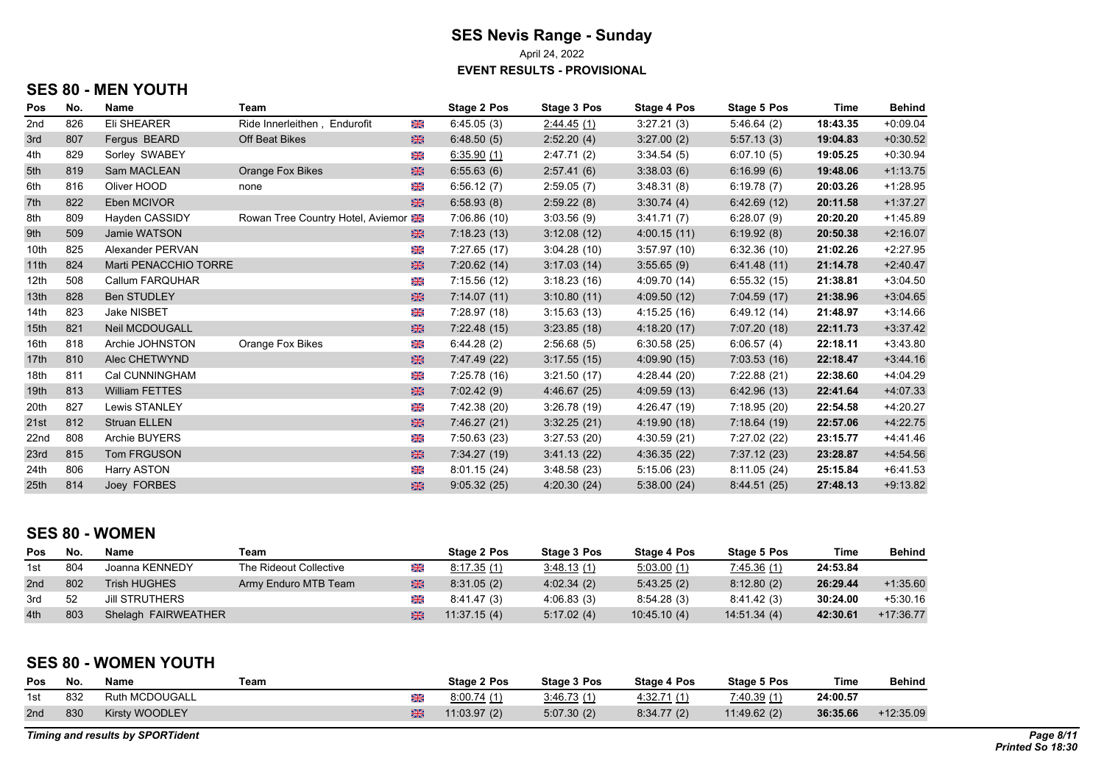April 24, 2022

**EVENT RESULTS - PROVISIONAL**

# **SES 80 - MEN YOUTH**

| Pos              | No. | Name                  | Team                              |    | Stage 2 Pos  | Stage 3 Pos | Stage 4 Pos  | Stage 5 Pos  | Time     | <b>Behind</b> |
|------------------|-----|-----------------------|-----------------------------------|----|--------------|-------------|--------------|--------------|----------|---------------|
| 2nd              | 826 | Eli SHEARER           | Ride Innerleithen, Endurofit      | X  | 6.45.05(3)   | 2.44.45(1)  | 3:27.21(3)   | 5.46.64(2)   | 18:43.35 | $+0.09.04$    |
| 3rd              | 807 | Fergus BEARD          | Off Beat Bikes                    | 米  | 6.48.50(5)   | 2:52.20(4)  | 3:27.00(2)   | 5:57.13(3)   | 19:04.83 | $+0.30.52$    |
| 4th              | 829 | Sorley SWABEY         |                                   | 米  | 6:35.90(1)   | 2:47.71(2)  | 3:34.54(5)   | 6:07.10(5)   | 19:05.25 | $+0.30.94$    |
| 5th              | 819 | Sam MACLEAN           | <b>Orange Fox Bikes</b>           | 米  | 6:55.63(6)   | 2:57.41(6)  | 3:38.03(6)   | 6:16.99(6)   | 19:48.06 | $+1:13.75$    |
| 6th              | 816 | Oliver HOOD           | none                              | ⋇  | 6:56.12(7)   | 2:59.05(7)  | 3:48.31(8)   | 6:19.78(7)   | 20:03.26 | $+1:28.95$    |
| 7th              | 822 | Eben MCIVOR           |                                   | 米  | 6:58.93(8)   | 2:59.22(8)  | 3:30.74(4)   | 6.42.69(12)  | 20:11.58 | $+1:37.27$    |
| 8th              | 809 | Hayden CASSIDY        | Rowan Tree Country Hotel, Aviemor |    | 7:06.86(10)  | 3.03.56(9)  | 3:41.71(7)   | 6:28.07(9)   | 20:20.20 | $+1.45.89$    |
| 9th              | 509 | Jamie WATSON          |                                   | 米  | 7:18.23(13)  | 3:12.08(12) | 4:00.15(11)  | 6:19.92(8)   | 20:50.38 | $+2:16.07$    |
| 10th             | 825 | Alexander PERVAN      |                                   | XK | 7:27.65(17)  | 3:04.28(10) | 3:57.97(10)  | 6:32.36(10)  | 21:02.26 | $+2:27.95$    |
| 11th             | 824 | Marti PENACCHIO TORRE |                                   | 米  | 7:20.62(14)  | 3.17.03(14) | 3.55.65(9)   | 6.41.48(11)  | 21:14.78 | $+2.40.47$    |
| 12th             | 508 | Callum FARQUHAR       |                                   | ⋇  | 7:15.56(12)  | 3:18.23(16) | 4:09.70 (14) | 6:55.32(15)  | 21:38.81 | $+3:04.50$    |
| 13th             | 828 | <b>Ben STUDLEY</b>    |                                   | 米  | 7:14.07(11)  | 3.10.80(11) | 4.09.50(12)  | 7:04.59(17)  | 21:38.96 | $+3.04.65$    |
| 14th             | 823 | <b>Jake NISBET</b>    |                                   | XK | 7:28.97 (18) | 3:15.63(13) | 4:15.25(16)  | 6.49.12(14)  | 21:48.97 | $+3:14.66$    |
| 15th             | 821 | <b>Neil MCDOUGALL</b> |                                   | 米  | 7:22.48(15)  | 3.23.85(18) | 4:18.20(17)  | 7:07.20(18)  | 22:11.73 | $+3.37.42$    |
| 16th             | 818 | Archie JOHNSTON       | Orange Fox Bikes                  | ⋇  | 6:44.28(2)   | 2:56.68(5)  | 6:30.58(25)  | 6.06.57(4)   | 22:18.11 | $+3:43.80$    |
| 17th             | 810 | Alec CHETWYND         |                                   | 米  | 7:47.49 (22) | 3.17.55(15) | 4.09.90(15)  | 7:03.53(16)  | 22:18.47 | $+3.44.16$    |
| 18th             | 811 | Cal CUNNINGHAM        |                                   | XK | 7:25.78 (16) | 3:21.50(17) | 4:28.44 (20) | 7:22.88 (21) | 22:38.60 | $+4:04.29$    |
| 19th             | 813 | <b>William FETTES</b> |                                   | 米  | 7:02.42(9)   | 4.46.67(25) | 4:09.59(13)  | 6.42.96(13)  | 22:41.64 | $+4.07.33$    |
| 20th             | 827 | Lewis STANLEY         |                                   | XK | 7:42.38 (20) | 3:26.78(19) | 4:26.47 (19) | 7:18.95 (20) | 22:54.58 | $+4:20.27$    |
| 21st             | 812 | <b>Struan ELLEN</b>   |                                   | 米  | 7:46.27 (21) | 3.32.25(21) | 4:19.90(18)  | 7:18.64(19)  | 22:57.06 | $+4.22.75$    |
| 22 <sub>nd</sub> | 808 | Archie BUYERS         |                                   | 米  | 7:50.63 (23) | 3.27.53(20) | 4:30.59(21)  | 7:27.02 (22) | 23:15.77 | $+4.41.46$    |
| 23rd             | 815 | Tom FRGUSON           |                                   | 米  | 7:34.27 (19) | 3.41.13(22) | 4:36.35(22)  | 7:37.12(23)  | 23:28.87 | $+4.54.56$    |
| 24th             | 806 | Harry ASTON           |                                   | 米  | 8.01.15(24)  | 3.48.58(23) | 5:15.06(23)  | 8:11.05(24)  | 25:15.84 | $+6.41.53$    |
| 25 <sub>th</sub> | 814 | Joey FORBES           |                                   | 米  | 9:05.32(25)  | 4:20.30(24) | 5.38.00(24)  | 8:44.51(25)  | 27:48.13 | $+9.13.82$    |

#### **SES 80 - WOMEN**

| <b>Pos</b> | No. | Name                  | Team                   |   | <b>Stage 2 Pos</b> | Stage 3 Pos | Stage 4 Pos | <b>Stage 5 Pos</b> | Time     | <b>Behind</b> |
|------------|-----|-----------------------|------------------------|---|--------------------|-------------|-------------|--------------------|----------|---------------|
| 1st        | 804 | Joanna KENNEDY        | The Rideout Collective | 米 | 8:17.35(1)         | 3.48.13(1)  | 5.03.00(1)  | <u>7.45.36 (1)</u> | 24:53.84 |               |
| 2nd        | 802 | <b>Trish HUGHES</b>   | Army Enduro MTB Team   | 米 | 8:31.05(2)         | 4.02.34(2)  | 5.43.25(2)  | 8:12.80(2)         | 26:29.44 | $+1:35.60$    |
| 3rd        | 52  | <b>JIII STRUTHERS</b> |                        | Ж | 8:41.47(3)         | 4.06.83(3)  | 8:54.28(3)  | 8.41.42(3)         | 30:24.00 | $+5.30.16$    |
| 4th        | 803 | Shelagh FAIRWEATHER   |                        | Ж | 11:37.15(4)        | 5.17.02(4)  | 10.45.10(4) | 14.51.34(4)        | 42:30.61 | $+17:36.77$   |

#### **SES 80 - WOMEN YOUTH**

| <b>Pos</b> | No. | Name                  | Team | Stage 2 Pos | <b>Stage 3 Pos</b> | <b>Stage 4 Pos</b> | <b>Stage 5 Pos</b> | Time     | <b>Behind</b> |
|------------|-----|-----------------------|------|-------------|--------------------|--------------------|--------------------|----------|---------------|
| 1st        | 832 | Ruth MCDOUGALL        | Ж    | 8.00.74(1)  | 3.46.73(1)         | <u>4.32.71 (1)</u> | 7.40.39(1)         | 24:00.57 |               |
| 2nd        | 830 | <b>Kirsty WOODLEY</b> | 米    | 11.03.97(2) | 5.07.30(2)         | 8:34.77(2)         | 11.49.62(2)        | 36:35.66 | $+12:35.09$   |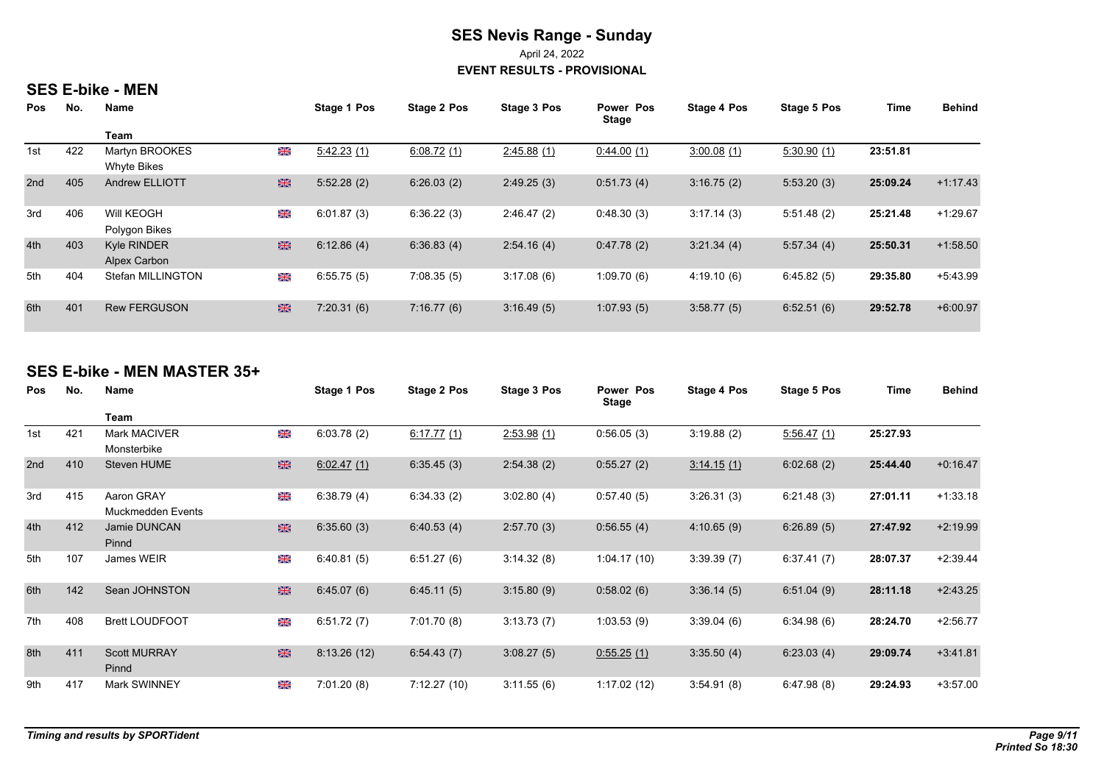April 24, 2022

**EVENT RESULTS - PROVISIONAL**

#### **SES E-bike - MEN**

| <b>Pos</b> | No. | Name                          |           | Stage 1 Pos | Stage 2 Pos | Stage 3 Pos | Power Pos<br><b>Stage</b> | <b>Stage 4 Pos</b> | Stage 5 Pos | <b>Time</b> | <b>Behind</b> |
|------------|-----|-------------------------------|-----------|-------------|-------------|-------------|---------------------------|--------------------|-------------|-------------|---------------|
|            |     | Team                          |           |             |             |             |                           |                    |             |             |               |
| 1st        | 422 | Martyn BROOKES<br>Whyte Bikes | Ж         | 5:42.23(1)  | 6:08.72(1)  | 2:45.88(1)  | 0.44.00(1)                | 3:00.08(1)         | 5:30.90(1)  | 23:51.81    |               |
| 2nd        | 405 | <b>Andrew ELLIOTT</b>         | 米         | 5:52.28(2)  | 6:26.03(2)  | 2:49.25(3)  | 0:51.73(4)                | 3:16.75(2)         | 5:53.20(3)  | 25:09.24    | $+1:17.43$    |
| 3rd        | 406 | Will KEOGH<br>Polygon Bikes   | <b>SK</b> | 6:01.87(3)  | 6:36.22(3)  | 2:46.47(2)  | 0:48.30(3)                | 3:17.14(3)         | 5:51.48(2)  | 25:21.48    | $+1:29.67$    |
| 4th        | 403 | Kyle RINDER<br>Alpex Carbon   | 米         | 6:12.86(4)  | 6.36.83(4)  | 2:54.16(4)  | 0.47.78(2)                | 3:21.34(4)         | 5:57.34(4)  | 25:50.31    | $+1:58.50$    |
| 5th        | 404 | Stefan MILLINGTON             | Ж         | 6:55.75(5)  | 7:08.35(5)  | 3:17.08(6)  | 1:09.70(6)                | 4:19.10(6)         | 6:45.82(5)  | 29:35.80    | $+5.43.99$    |
| 6th        | 401 | <b>Rew FERGUSON</b>           | 米         | 7:20.31(6)  | 7:16.77(6)  | 3:16.49(5)  | 1:07.93(5)                | 3:58.77(5)         | 6:52.51(6)  | 29:52.78    | $+6:00.97$    |

#### **SES E-bike - MEN MASTER 35+**

| Pos | No. | Name                            |   | Stage 1 Pos | Stage 2 Pos | <b>Stage 3 Pos</b> | Power Pos<br><b>Stage</b> | Stage 4 Pos | Stage 5 Pos | Time     | <b>Behind</b> |
|-----|-----|---------------------------------|---|-------------|-------------|--------------------|---------------------------|-------------|-------------|----------|---------------|
|     |     | Team                            |   |             |             |                    |                           |             |             |          |               |
| 1st | 421 | Mark MACIVER<br>Monsterbike     | 6 | 6:03.78(2)  | 6.17.77(1)  | 2.53.98(1)         | 0:56.05(3)                | 3:19.88(2)  | 5:56.47(1)  | 25:27.93 |               |
| 2nd | 410 | Steven HUME                     | 器 | 6.02.47(1)  | 6:35.45(3)  | 2:54.38(2)         | 0:55.27(2)                | 3:14.15(1)  | 6:02.68(2)  | 25:44.40 | $+0.16.47$    |
| 3rd | 415 | Aaron GRAY<br>Muckmedden Events | 米 | 6:38.79(4)  | 6:34.33(2)  | 3:02.80(4)         | 0.57.40(5)                | 3:26.31(3)  | 6:21.48(3)  | 27:01.11 | $+1:33.18$    |
| 4th | 412 | Jamie DUNCAN<br>Pinnd           | 器 | 6:35.60(3)  | 6:40.53(4)  | 2:57.70(3)         | 0.56.55(4)                | 4:10.65(9)  | 6:26.89(5)  | 27:47.92 | $+2:19.99$    |
| 5th | 107 | James WEIR                      | 米 | 6:40.81(5)  | 6:51.27(6)  | 3.14.32(8)         | 1:04.17(10)               | 3:39.39(7)  | 6:37.41(7)  | 28:07.37 | $+2:39.44$    |
| 6th | 142 | Sean JOHNSTON                   | 器 | 6:45.07(6)  | 6:45.11(5)  | 3:15.80(9)         | 0:58.02(6)                | 3:36.14(5)  | 6:51.04(9)  | 28:11.18 | $+2.43.25$    |
| 7th | 408 | <b>Brett LOUDFOOT</b>           | 米 | 6:51.72(7)  | 7:01.70(8)  | 3:13.73(7)         | 1:03.53(9)                | 3:39.04(6)  | 6:34.98(6)  | 28:24.70 | $+2:56.77$    |
| 8th | 411 | <b>Scott MURRAY</b><br>Pinnd    | 器 | 8:13.26(12) | 6:54.43(7)  | 3:08.27(5)         | 0.55.25(1)                | 3:35.50(4)  | 6:23.03(4)  | 29:09.74 | $+3.41.81$    |
| 9th | 417 | Mark SWINNEY                    | 米 | 7:01.20(8)  | 7:12.27(10) | 3:11.55(6)         | 1:17.02(12)               | 3.54.91(8)  | 6.47.98(8)  | 29:24.93 | $+3:57.00$    |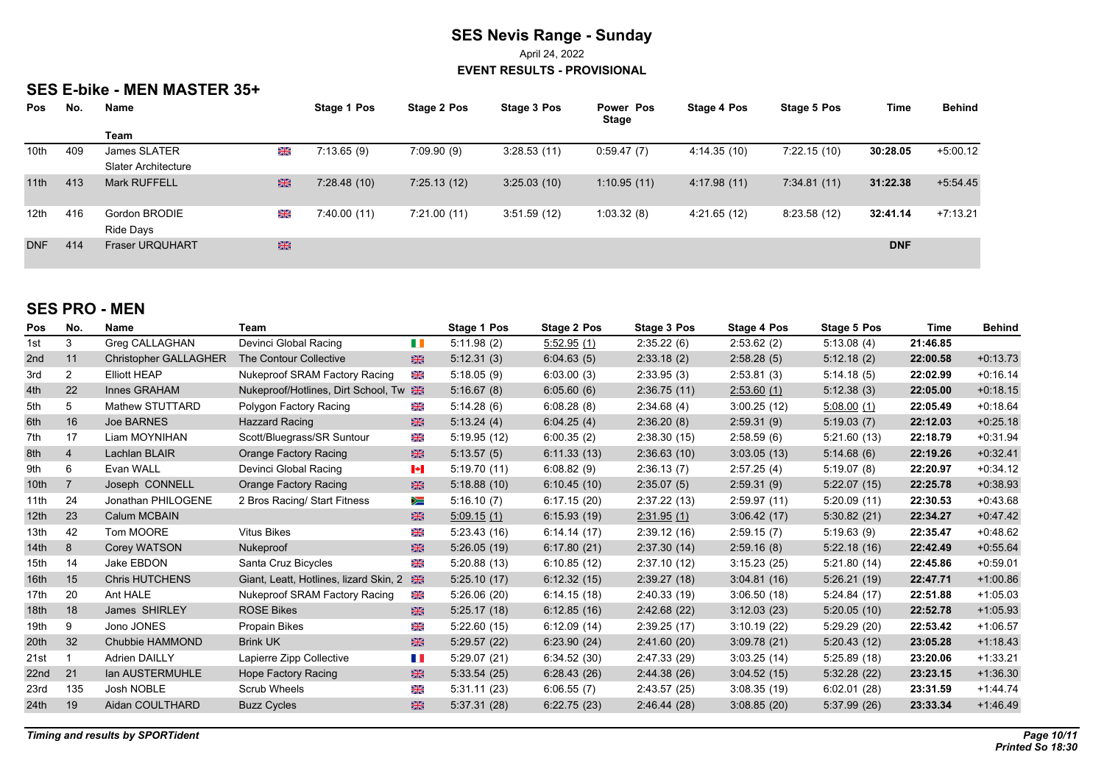April 24, 2022

**EVENT RESULTS - PROVISIONAL**

## **SES E-bike - MEN MASTER 35+**

| <b>Pos</b>       | No. | <b>Name</b>                |    | Stage 1 Pos | Stage 2 Pos | Stage 3 Pos | Power Pos<br>Stage | Stage 4 Pos  | Stage 5 Pos | Time       | <b>Behind</b> |
|------------------|-----|----------------------------|----|-------------|-------------|-------------|--------------------|--------------|-------------|------------|---------------|
|                  |     | Team                       |    |             |             |             |                    |              |             |            |               |
| 10 <sub>th</sub> | 409 | James SLATER               | XK | 7:13.65(9)  | 7:09.90(9)  | 3:28.53(11) | 0.59.47(7)         | 4:14.35 (10) | 7:22.15(10) | 30:28.05   | $+5:00.12$    |
|                  |     | <b>Slater Architecture</b> |    |             |             |             |                    |              |             |            |               |
| 11th             | 413 | <b>Mark RUFFELL</b>        | 米  | 7:28.48(10) | 7:25.13(12) | 3:25.03(10) | 1:10.95(11)        | 4:17.98(11)  | 7:34.81(11) | 31:22.38   | $+5.54.45$    |
| 12 <sub>th</sub> | 416 | Gordon BRODIE              | XK | 7:40.00(11) | 7:21.00(11) | 3:51.59(12) | 1:03.32(8)         | 4:21.65(12)  | 8:23.58(12) | 32:41.14   | $+7:13.21$    |
|                  |     | Ride Days                  |    |             |             |             |                    |              |             |            |               |
| <b>DNF</b>       | 414 | <b>Fraser URQUHART</b>     | 米  |             |             |             |                    |              |             | <b>DNF</b> |               |

## **SES PRO - MEN**

| Pos              | No.            | <b>Name</b>                  | Team                                   |                            | Stage 1 Pos | Stage 2 Pos | Stage 3 Pos  | Stage 4 Pos | Stage 5 Pos | Time     | <b>Behind</b> |
|------------------|----------------|------------------------------|----------------------------------------|----------------------------|-------------|-------------|--------------|-------------|-------------|----------|---------------|
| 1st              | 3              | Greg CALLAGHAN               | Devinci Global Racing                  | H I                        | 5:11.98(2)  | 5:52.95(1)  | 2.35.22(6)   | 2:53.62(2)  | 5.13.08(4)  | 21:46.85 |               |
| 2nd              | 11             | <b>Christopher GALLAGHER</b> | The Contour Collective                 | 米                          | 5:12.31(3)  | 6.04.63(5)  | 2:33.18(2)   | 2:58.28(5)  | 5:12.18(2)  | 22:00.58 | $+0.13.73$    |
| 3rd              | $\overline{2}$ | <b>Elliott HEAP</b>          | Nukeproof SRAM Factory Racing          | Ж                          | 5:18.05(9)  | 6.03.00(3)  | 2:33.95(3)   | 2:53.81(3)  | 5:14.18(5)  | 22:02.99 | $+0.16.14$    |
| 4th              | 22             | Innes GRAHAM                 | Nukeproof/Hotlines, Dirt School, Tw    | 米                          | 5:16.67(8)  | 6.05.60(6)  | 2:36.75(11)  | 2:53.60(1)  | 5:12.38(3)  | 22:05.00 | $+0.18.15$    |
| 5th              | 5              | Mathew STUTTARD              | Polygon Factory Racing                 | Ж                          | 5:14.28(6)  | 6.08.28(8)  | 2.34.68(4)   | 3:00.25(12) | 5.08.00(1)  | 22:05.49 | $+0.18.64$    |
| 6th              | 16             | Joe BARNES                   | <b>Hazzard Racing</b>                  | $\frac{1}{2}$              | 5:13.24(4)  | 6.04.25(4)  | 2:36.20(8)   | 2:59.31(9)  | 5:19.03(7)  | 22:12.03 | $+0.25.18$    |
| 7th              | 17             | Liam MOYNIHAN                | Scott/Bluegrass/SR Suntour             | ₩                          | 5:19.95(12) | 6:00.35(2)  | 2:38.30(15)  | 2:58.59(6)  | 5:21.60(13) | 22:18.79 | $+0.31.94$    |
| 8th              | 4              | Lachlan BLAIR                | <b>Orange Factory Racing</b>           | 米                          | 5:13.57(5)  | 6:11.33(13) | 2:36.63(10)  | 3:03.05(13) | 5:14.68(6)  | 22:19.26 | $+0.32.41$    |
| 9th              | 6              | Evan WALL                    | Devinci Global Racing                  | $\left\  \bullet \right\ $ | 5.19.70(11) | 6.08.82(9)  | 2:36.13(7)   | 2:57.25(4)  | 5:19.07(8)  | 22:20.97 | $+0.34.12$    |
| 10 <sub>th</sub> | $\overline{7}$ | Joseph CONNELL               | <b>Orange Factory Racing</b>           | 米                          | 5:18.88(10) | 6:10.45(10) | 2:35.07(5)   | 2:59.31(9)  | 5:22.07(15) | 22:25.78 | $+0.38.93$    |
| 11th             | 24             | Jonathan PHILOGENE           | 2 Bros Racing/ Start Fitness           | ≽≡                         | 5:16.10(7)  | 6:17.15(20) | 2:37.22(13)  | 2:59.97(11) | 5:20.09(11) | 22:30.53 | $+0.43.68$    |
| 12 <sup>th</sup> | 23             | Calum MCBAIN                 |                                        | 米                          | 5.09.15(1)  | 6:15.93(19) | 2.31.95(1)   | 3.06.42(17) | 5:30.82(21) | 22:34.27 | $+0.47.42$    |
| 13th             | 42             | Tom MOORE                    | <b>Vitus Bikes</b>                     | <b>SK</b>                  | 5.23.43(16) | 6.14.14(17) | 2:39.12(16)  | 2:59.15(7)  | 5:19.63(9)  | 22:35.47 | $+0.48.62$    |
| 14th             | 8              | Corey WATSON                 | Nukeproof                              | 米                          | 5:26.05(19) | 6:17.80(21) | 2:37.30(14)  | 2:59.16(8)  | 5:22.18(16) | 22:42.49 | $+0.55.64$    |
| 15th             | 14             | Jake EBDON                   | Santa Cruz Bicycles                    | ₩                          | 5:20.88(13) | 6:10.85(12) | 2:37.10(12)  | 3:15.23(25) | 5:21.80(14) | 22:45.86 | $+0.59.01$    |
| 16 <sup>th</sup> | 15             | <b>Chris HUTCHENS</b>        | Giant, Leatt, Hotlines, lizard Skin, 2 | 米                          | 5:25.10(17) | 6:12.32(15) | 2:39.27(18)  | 3.04.81(16) | 5:26.21(19) | 22:47.71 | $+1:00.86$    |
| 17th             | 20             | Ant HALE                     | Nukeproof SRAM Factory Racing          | Ж                          | 5:26.06(20) | 6:14.15(18) | 2:40.33(19)  | 3.06.50(18) | 5:24.84(17) | 22:51.88 | $+1.05.03$    |
| 18 <sup>th</sup> | 18             | James SHIRLEY                | <b>ROSE Bikes</b>                      | 米                          | 5:25.17(18) | 6:12.85(16) | 2.42.68(22)  | 3:12.03(23) | 5:20.05(10) | 22:52.78 | $+1:05.93$    |
| 19 <sub>th</sub> | 9              | Jono JONES                   | Propain Bikes                          | Ж                          | 5:22.60(15) | 6:12.09(14) | 2:39.25(17)  | 3:10.19(22) | 5:29.29(20) | 22:53.42 | $+1.06.57$    |
| 20th             | 32             | Chubbie HAMMOND              | <b>Brink UK</b>                        | 米                          | 5:29.57(22) | 6:23.90(24) | 2:41.60(20)  | 3.09.78(21) | 5:20.43(12) | 23:05.28 | $+1.18.43$    |
| 21st             |                | <b>Adrien DAILLY</b>         | Lapierre Zipp Collective               | H II                       | 5:29.07(21) | 6.34.52(30) | 2:47.33 (29) | 3.03.25(14) | 5:25.89(18) | 23:20.06 | $+1:33.21$    |
| 22nd             | 21             | lan AUSTERMUHLE              | <b>Hope Factory Racing</b>             | 米                          | 5:33.54(25) | 6.28.43(26) | 2.44.38(26)  | 3.04.52(15) | 5:32.28(22) | 23:23.15 | $+1.36.30$    |
| 23rd             | 135            | Josh NOBLE                   | Scrub Wheels                           | ₩                          | 5.31.11(23) | 6:06.55(7)  | 2:43.57(25)  | 3.08.35(19) | 6:02.01(28) | 23:31.59 | +1:44.74      |
| 24th             | 19             | Aidan COULTHARD              | <b>Buzz Cycles</b>                     | 米                          | 5:37.31(28) | 6:22.75(23) | 2.46.44(28)  | 3.08.85(20) | 5:37.99(26) | 23:33.34 | $+1.46.49$    |
|                  |                |                              |                                        |                            |             |             |              |             |             |          |               |